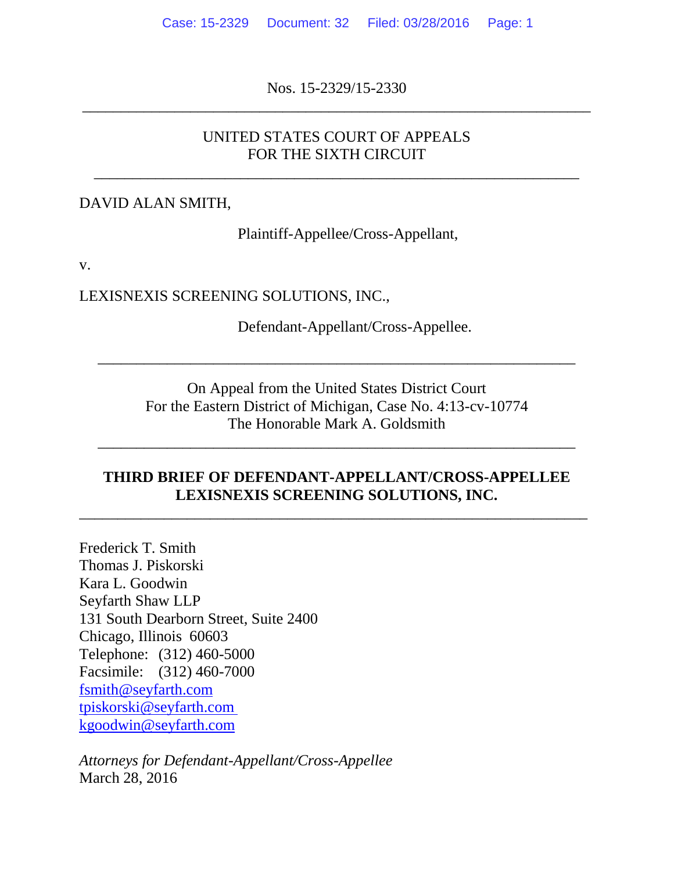Nos. 15-2329/15-2330 \_\_\_\_\_\_\_\_\_\_\_\_\_\_\_\_\_\_\_\_\_\_\_\_\_\_\_\_\_\_\_\_\_\_\_\_\_\_\_\_\_\_\_\_\_\_\_\_\_\_\_\_\_\_\_\_\_\_\_\_\_\_\_\_\_\_

### UNITED STATES COURT OF APPEALS FOR THE SIXTH CIRCUIT

\_\_\_\_\_\_\_\_\_\_\_\_\_\_\_\_\_\_\_\_\_\_\_\_\_\_\_\_\_\_\_\_\_\_\_\_\_\_\_\_\_\_\_\_\_\_\_\_\_\_\_\_\_\_\_\_\_\_\_\_\_\_\_

#### DAVID ALAN SMITH,

Plaintiff-Appellee/Cross-Appellant,

v.

LEXISNEXIS SCREENING SOLUTIONS, INC.,

Defendant-Appellant/Cross-Appellee.

On Appeal from the United States District Court For the Eastern District of Michigan, Case No. 4:13-cv-10774 The Honorable Mark A. Goldsmith

\_\_\_\_\_\_\_\_\_\_\_\_\_\_\_\_\_\_\_\_\_\_\_\_\_\_\_\_\_\_\_\_\_\_\_\_\_\_\_\_\_\_\_\_\_\_\_\_\_\_\_\_\_\_\_\_\_\_\_\_\_\_

\_\_\_\_\_\_\_\_\_\_\_\_\_\_\_\_\_\_\_\_\_\_\_\_\_\_\_\_\_\_\_\_\_\_\_\_\_\_\_\_\_\_\_\_\_\_\_\_\_\_\_\_\_\_\_\_\_\_\_\_\_\_

#### **THIRD BRIEF OF DEFENDANT-APPELLANT/CROSS-APPELLEE LEXISNEXIS SCREENING SOLUTIONS, INC.**

 $\overline{a_1}$  ,  $\overline{a_2}$  ,  $\overline{a_3}$  ,  $\overline{a_4}$  ,  $\overline{a_5}$  ,  $\overline{a_6}$  ,  $\overline{a_7}$  ,  $\overline{a_8}$  ,  $\overline{a_9}$  ,  $\overline{a_9}$  ,  $\overline{a_9}$  ,  $\overline{a_9}$  ,  $\overline{a_9}$  ,  $\overline{a_9}$  ,  $\overline{a_9}$  ,  $\overline{a_9}$  ,  $\overline{a_9}$  ,

Frederick T. Smith Thomas J. Piskorski Kara L. Goodwin Seyfarth Shaw LLP 131 South Dearborn Street, Suite 2400 Chicago, Illinois 60603 Telephone: (312) 460-5000 Facsimile: (312) 460-7000 [fsmith@seyfarth.com](mailto:fsmith@seyfarth.com) [tpiskorski@seyfarth.com](mailto:tpiskorski@seyfarth.com) [kgoodwin@seyfarth.com](mailto:kgoodwin@seyfarth.com)

*Attorneys for Defendant-Appellant/Cross-Appellee*  March 28, 2016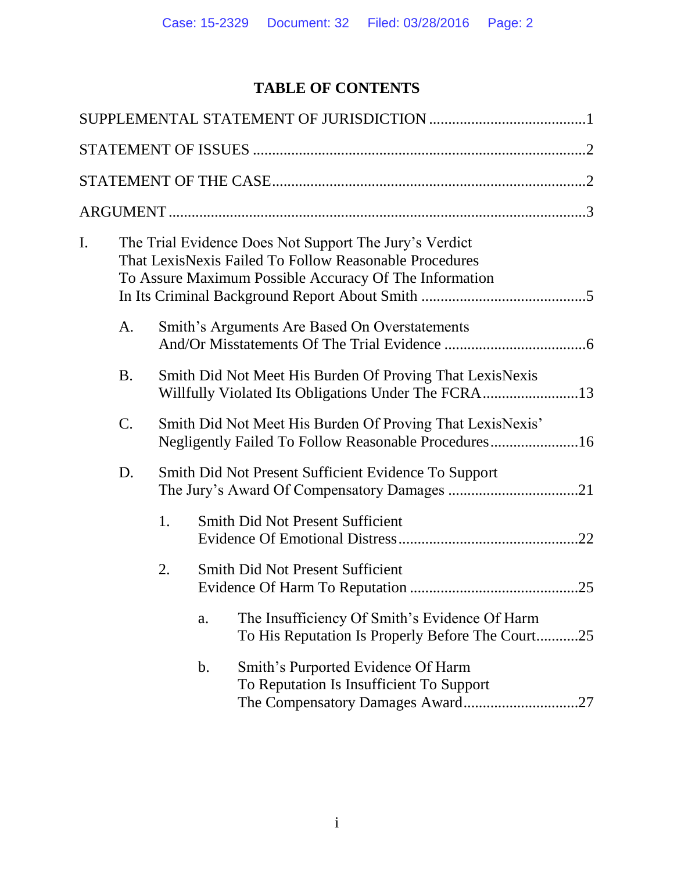# **TABLE OF CONTENTS**

| I. |           | The Trial Evidence Does Not Support The Jury's Verdict<br>That LexisNexis Failed To Follow Reasonable Procedures<br>To Assure Maximum Possible Accuracy Of The Information |                                               |                                                                                                                   |  |  |  |
|----|-----------|----------------------------------------------------------------------------------------------------------------------------------------------------------------------------|-----------------------------------------------|-------------------------------------------------------------------------------------------------------------------|--|--|--|
|    | A.        |                                                                                                                                                                            | Smith's Arguments Are Based On Overstatements |                                                                                                                   |  |  |  |
|    | <b>B.</b> | Smith Did Not Meet His Burden Of Proving That LexisNexis                                                                                                                   |                                               |                                                                                                                   |  |  |  |
|    | $C$ .     |                                                                                                                                                                            |                                               | Smith Did Not Meet His Burden Of Proving That LexisNexis'<br>Negligently Failed To Follow Reasonable Procedures16 |  |  |  |
|    | D.        | Smith Did Not Present Sufficient Evidence To Support                                                                                                                       |                                               |                                                                                                                   |  |  |  |
|    |           | 1.                                                                                                                                                                         |                                               | <b>Smith Did Not Present Sufficient</b>                                                                           |  |  |  |
|    |           | 2.                                                                                                                                                                         |                                               | <b>Smith Did Not Present Sufficient</b>                                                                           |  |  |  |
|    |           |                                                                                                                                                                            | a.                                            | The Insufficiency Of Smith's Evidence Of Harm<br>To His Reputation Is Properly Before The Court<br>.25            |  |  |  |
|    |           |                                                                                                                                                                            | b.                                            | Smith's Purported Evidence Of Harm<br>To Reputation Is Insufficient To Support<br>.27                             |  |  |  |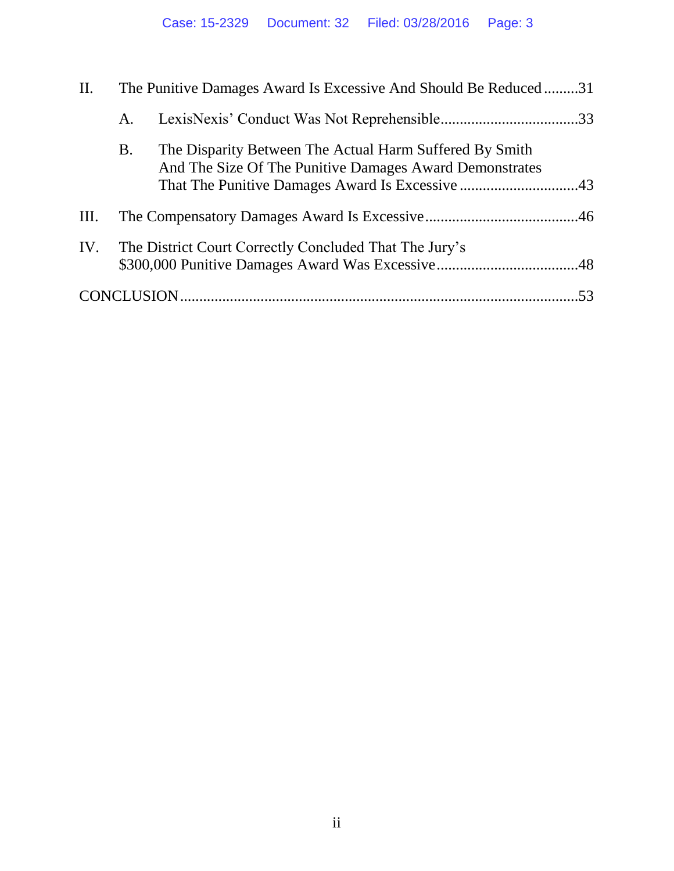| II.  | The Punitive Damages Award Is Excessive And Should Be Reduced31 |                                                                                                                    |  |
|------|-----------------------------------------------------------------|--------------------------------------------------------------------------------------------------------------------|--|
|      | A.                                                              |                                                                                                                    |  |
|      | B.                                                              | The Disparity Between The Actual Harm Suffered By Smith<br>And The Size Of The Punitive Damages Award Demonstrates |  |
| III. |                                                                 |                                                                                                                    |  |
| IV.  |                                                                 | The District Court Correctly Concluded That The Jury's                                                             |  |
|      |                                                                 |                                                                                                                    |  |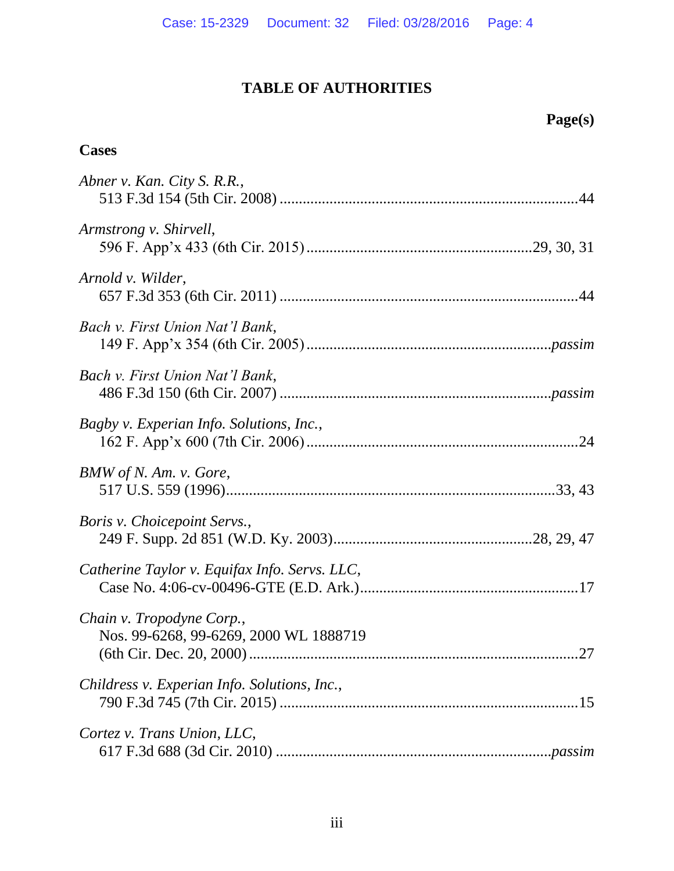# **TABLE OF AUTHORITIES**

# **Page(s)**

# **Cases**

| Abner v. Kan. City S. R.R.,                                         |
|---------------------------------------------------------------------|
| Armstrong v. Shirvell,                                              |
| Arnold v. Wilder,                                                   |
| Bach v. First Union Nat'l Bank,                                     |
| Bach v. First Union Nat'l Bank,                                     |
| Bagby v. Experian Info. Solutions, Inc.,                            |
| BMW of N. Am. v. Gore,                                              |
| Boris v. Choicepoint Servs.,                                        |
| Catherine Taylor v. Equifax Info. Servs. LLC,                       |
| Chain v. Tropodyne Corp.,<br>Nos. 99-6268, 99-6269, 2000 WL 1888719 |
| Childress v. Experian Info. Solutions, Inc.,                        |
| Cortez v. Trans Union, LLC,                                         |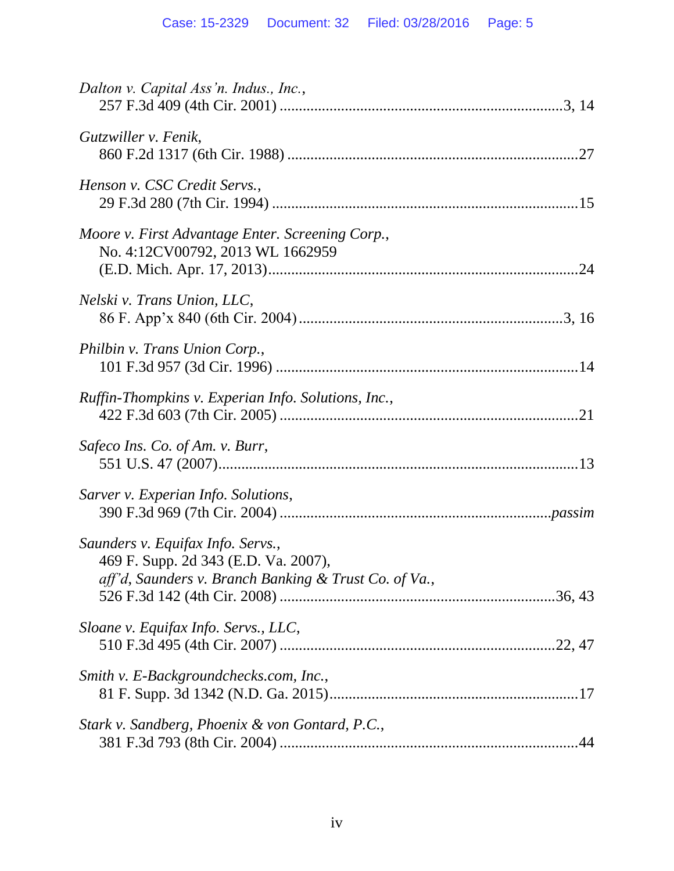| Dalton v. Capital Ass'n. Indus., Inc.,                                                                                             |
|------------------------------------------------------------------------------------------------------------------------------------|
| Gutzwiller v. Fenik,                                                                                                               |
| Henson v. CSC Credit Servs.,                                                                                                       |
| Moore v. First Advantage Enter. Screening Corp.,<br>No. 4:12CV00792, 2013 WL 1662959                                               |
| Nelski v. Trans Union, LLC,                                                                                                        |
| Philbin v. Trans Union Corp.,                                                                                                      |
| Ruffin-Thompkins v. Experian Info. Solutions, Inc.,                                                                                |
| Safeco Ins. Co. of Am. v. Burr,                                                                                                    |
| Sarver v. Experian Info. Solutions,                                                                                                |
| Saunders v. Equifax Info. Servs.,<br>469 F. Supp. 2d 343 (E.D. Va. 2007),<br>aff'd, Saunders v. Branch Banking & Trust Co. of Va., |
| Sloane v. Equifax Info. Servs., LLC,                                                                                               |
| Smith v. E-Backgroundchecks.com, Inc.,                                                                                             |
| Stark v. Sandberg, Phoenix & von Gontard, P.C.,                                                                                    |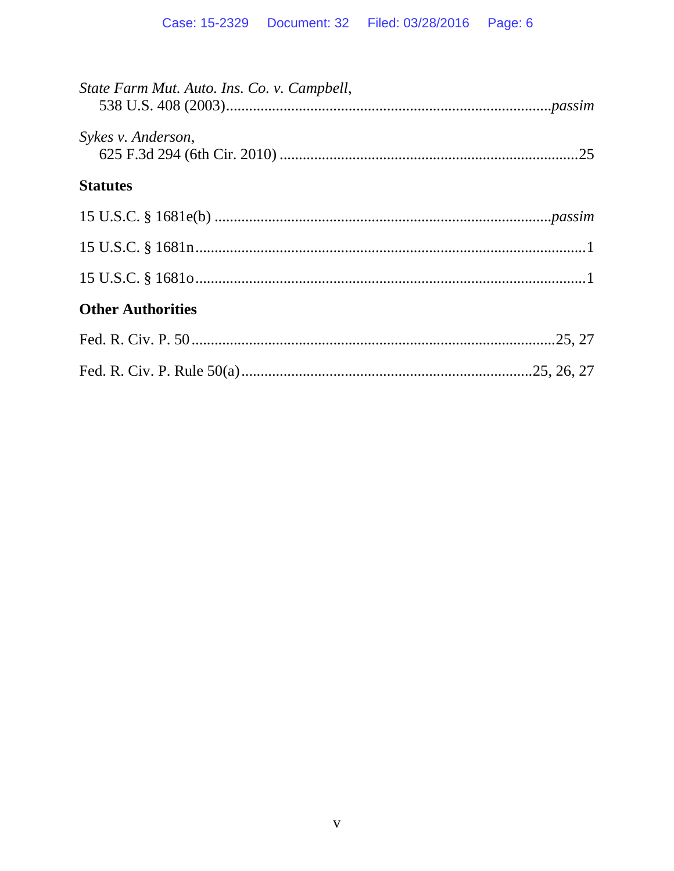| State Farm Mut. Auto. Ins. Co. v. Campbell, |  |
|---------------------------------------------|--|
| Sykes v. Anderson,                          |  |
| <b>Statutes</b>                             |  |
|                                             |  |
|                                             |  |
|                                             |  |
| <b>Other Authorities</b>                    |  |
|                                             |  |
|                                             |  |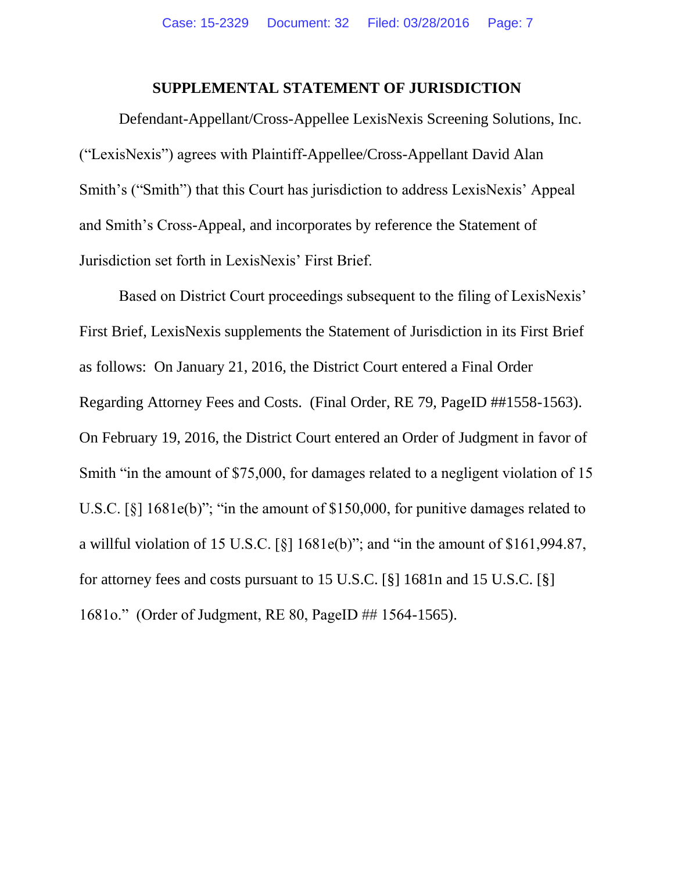#### **SUPPLEMENTAL STATEMENT OF JURISDICTION**

Defendant-Appellant/Cross-Appellee LexisNexis Screening Solutions, Inc. ("LexisNexis") agrees with Plaintiff-Appellee/Cross-Appellant David Alan Smith's ("Smith") that this Court has jurisdiction to address LexisNexis' Appeal and Smith's Cross-Appeal, and incorporates by reference the Statement of Jurisdiction set forth in LexisNexis' First Brief.

<span id="page-6-2"></span><span id="page-6-1"></span><span id="page-6-0"></span>Based on District Court proceedings subsequent to the filing of LexisNexis' First Brief, LexisNexis supplements the Statement of Jurisdiction in its First Brief as follows: On January 21, 2016, the District Court entered a Final Order Regarding Attorney Fees and Costs. (Final Order, RE 79, PageID ##1558-1563). On February 19, 2016, the District Court entered an Order of Judgment in favor of Smith "in the amount of \$75,000, for damages related to a negligent violation of 15 U.S.C. [§] 1681e(b)"; "in the amount of \$150,000, for punitive damages related to a willful violation of 15 U.S.C.  $\lceil \xi \rceil$  1681e(b)"; and "in the amount of \$161,994.87, for attorney fees and costs pursuant to 15 U.S.C. [§] 1681n and 15 U.S.C. [§] 1681o." (Order of Judgment, RE 80, PageID ## 1564-1565).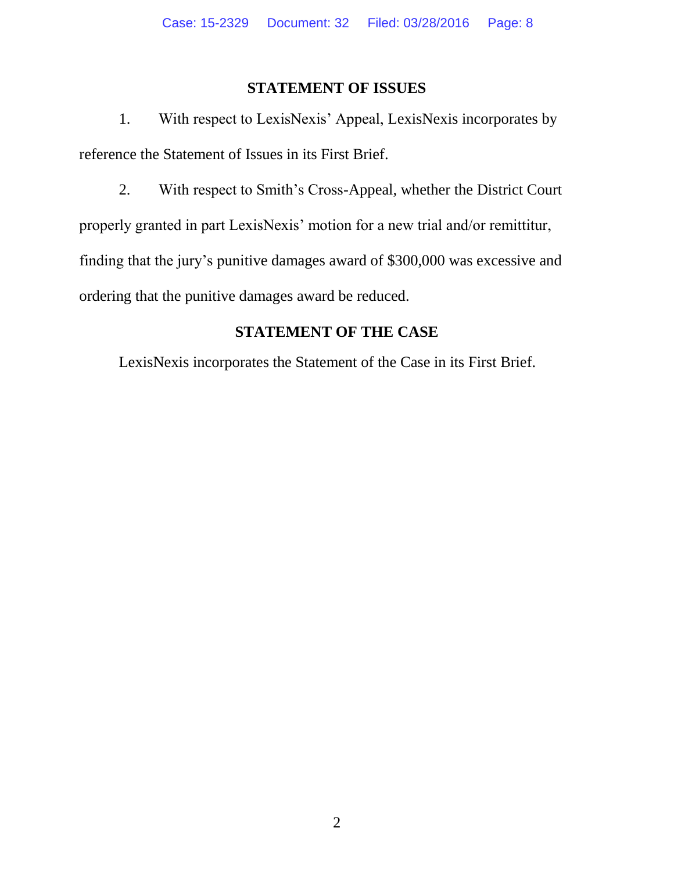## **STATEMENT OF ISSUES**

1. With respect to LexisNexis' Appeal, LexisNexis incorporates by reference the Statement of Issues in its First Brief.

2. With respect to Smith's Cross-Appeal, whether the District Court properly granted in part LexisNexis' motion for a new trial and/or remittitur, finding that the jury's punitive damages award of \$300,000 was excessive and ordering that the punitive damages award be reduced.

# **STATEMENT OF THE CASE**

LexisNexis incorporates the Statement of the Case in its First Brief.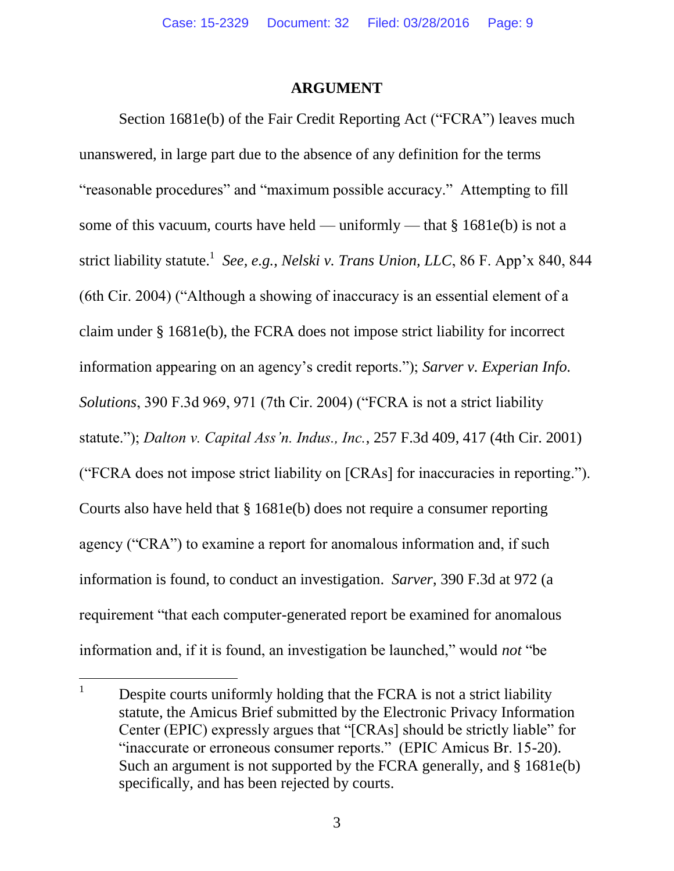#### <span id="page-8-2"></span><span id="page-8-1"></span>**ARGUMENT**

Section 1681e(b) of the Fair Credit Reporting Act ("FCRA") leaves much unanswered, in large part due to the absence of any definition for the terms "reasonable procedures" and "maximum possible accuracy." Attempting to fill some of this vacuum, courts have held — uniformly — that  $§$  1681e(b) is not a strict liability statute.<sup>1</sup> See, e.g., *Nelski v. Trans Union, LLC*, 86 F. App'x 840, 844 (6th Cir. 2004) ("Although a showing of inaccuracy is an essential element of a claim under § 1681e(b), the FCRA does not impose strict liability for incorrect information appearing on an agency's credit reports."); *Sarver v. Experian Info. Solutions*, 390 F.3d 969, 971 (7th Cir. 2004) ("FCRA is not a strict liability statute."); *Dalton v. Capital Ass'n. Indus., Inc.*, 257 F.3d 409, 417 (4th Cir. 2001) ("FCRA does not impose strict liability on [CRAs] for inaccuracies in reporting."). Courts also have held that § 1681e(b) does not require a consumer reporting agency ("CRA") to examine a report for anomalous information and, if such information is found, to conduct an investigation. *Sarver*, 390 F.3d at 972 (a requirement "that each computer-generated report be examined for anomalous information and, if it is found, an investigation be launched," would *not* "be

<span id="page-8-0"></span> $\mathbf{1}$ Despite courts uniformly holding that the FCRA is not a strict liability statute, the Amicus Brief submitted by the Electronic Privacy Information Center (EPIC) expressly argues that "[CRAs] should be strictly liable" for "inaccurate or erroneous consumer reports." (EPIC Amicus Br. 15-20). Such an argument is not supported by the FCRA generally, and § 1681e(b) specifically, and has been rejected by courts.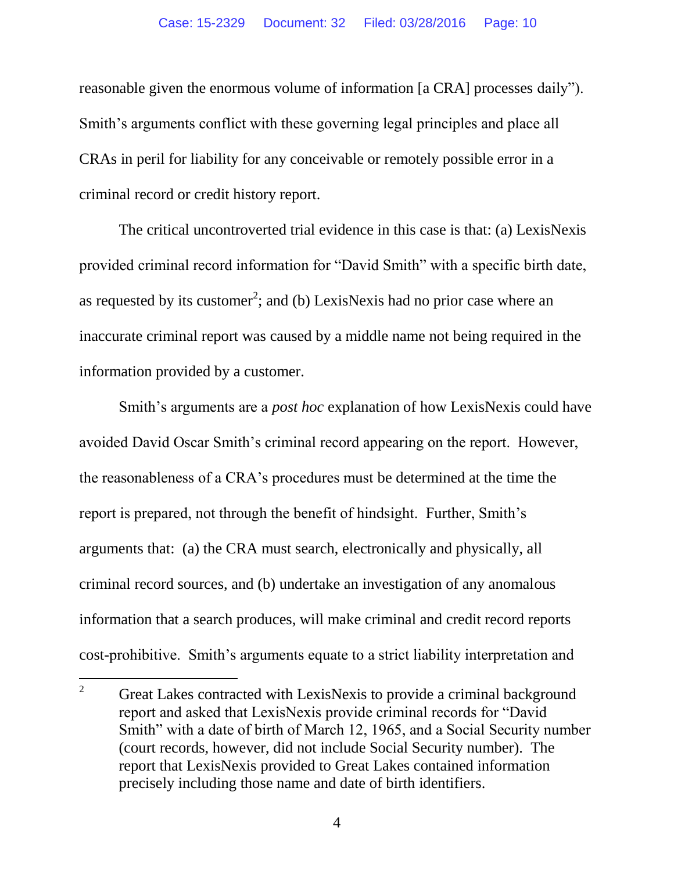reasonable given the enormous volume of information [a CRA] processes daily"). Smith's arguments conflict with these governing legal principles and place all CRAs in peril for liability for any conceivable or remotely possible error in a criminal record or credit history report.

The critical uncontroverted trial evidence in this case is that: (a) LexisNexis provided criminal record information for "David Smith" with a specific birth date, as requested by its customer<sup>2</sup>; and (b) LexisNexis had no prior case where an inaccurate criminal report was caused by a middle name not being required in the information provided by a customer.

Smith's arguments are a *post hoc* explanation of how LexisNexis could have avoided David Oscar Smith's criminal record appearing on the report. However, the reasonableness of a CRA's procedures must be determined at the time the report is prepared, not through the benefit of hindsight. Further, Smith's arguments that: (a) the CRA must search, electronically and physically, all criminal record sources, and (b) undertake an investigation of any anomalous information that a search produces, will make criminal and credit record reports cost-prohibitive. Smith's arguments equate to a strict liability interpretation and

 $\overline{c}$ <sup>2</sup> Great Lakes contracted with LexisNexis to provide a criminal background report and asked that LexisNexis provide criminal records for "David Smith" with a date of birth of March 12, 1965, and a Social Security number (court records, however, did not include Social Security number). The report that LexisNexis provided to Great Lakes contained information precisely including those name and date of birth identifiers.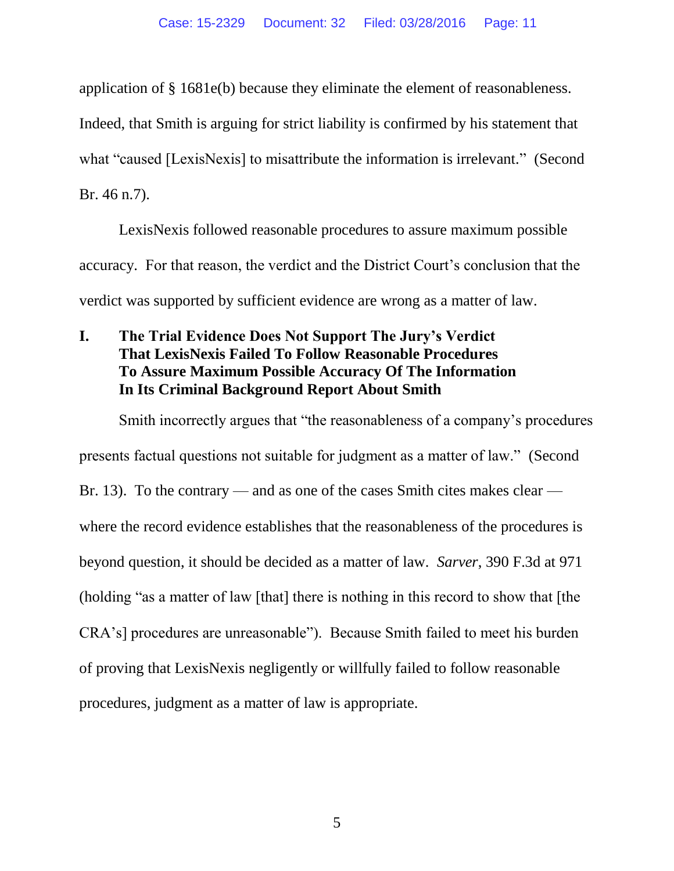application of § 1681e(b) because they eliminate the element of reasonableness.

Indeed, that Smith is arguing for strict liability is confirmed by his statement that

what "caused [LexisNexis] to misattribute the information is irrelevant." (Second

Br. 46 n.7).

LexisNexis followed reasonable procedures to assure maximum possible accuracy. For that reason, the verdict and the District Court's conclusion that the verdict was supported by sufficient evidence are wrong as a matter of law.

# **I. The Trial Evidence Does Not Support The Jury's Verdict That LexisNexis Failed To Follow Reasonable Procedures To Assure Maximum Possible Accuracy Of The Information In Its Criminal Background Report About Smith**

Smith incorrectly argues that "the reasonableness of a company's procedures presents factual questions not suitable for judgment as a matter of law." (Second Br. 13). To the contrary — and as one of the cases Smith cites makes clear where the record evidence establishes that the reasonableness of the procedures is beyond question, it should be decided as a matter of law. *Sarver*, 390 F.3d at 971 (holding "as a matter of law [that] there is nothing in this record to show that [the CRA's] procedures are unreasonable"). Because Smith failed to meet his burden of proving that LexisNexis negligently or willfully failed to follow reasonable procedures, judgment as a matter of law is appropriate.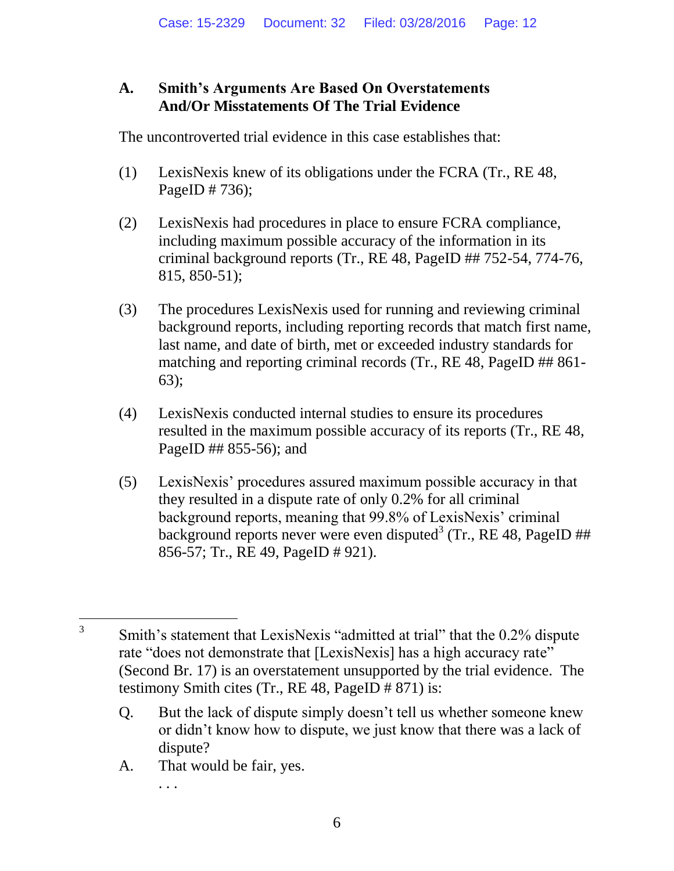# **A. Smith's Arguments Are Based On Overstatements And/Or Misstatements Of The Trial Evidence**

The uncontroverted trial evidence in this case establishes that:

- (1) LexisNexis knew of its obligations under the FCRA (Tr., RE 48, PageID # 736);
- (2) LexisNexis had procedures in place to ensure FCRA compliance, including maximum possible accuracy of the information in its criminal background reports (Tr., RE 48, PageID ## 752-54, 774-76, 815, 850-51);
- (3) The procedures LexisNexis used for running and reviewing criminal background reports, including reporting records that match first name, last name, and date of birth, met or exceeded industry standards for matching and reporting criminal records (Tr., RE 48, PageID ## 861- 63);
- (4) LexisNexis conducted internal studies to ensure its procedures resulted in the maximum possible accuracy of its reports (Tr., RE 48, PageID ## 855-56); and
- (5) LexisNexis' procedures assured maximum possible accuracy in that they resulted in a dispute rate of only 0.2% for all criminal background reports, meaning that 99.8% of LexisNexis' criminal background reports never were even disputed<sup>3</sup> (Tr., RE 48, PageID ## 856-57; Tr., RE 49, PageID # 921).

A. That would be fair, yes.

. . .

 $\overline{a}$ 3 Smith's statement that LexisNexis "admitted at trial" that the 0.2% dispute rate "does not demonstrate that [LexisNexis] has a high accuracy rate" (Second Br. 17) is an overstatement unsupported by the trial evidence. The testimony Smith cites (Tr., RE 48, PageID # 871) is:

Q. But the lack of dispute simply doesn't tell us whether someone knew or didn't know how to dispute, we just know that there was a lack of dispute?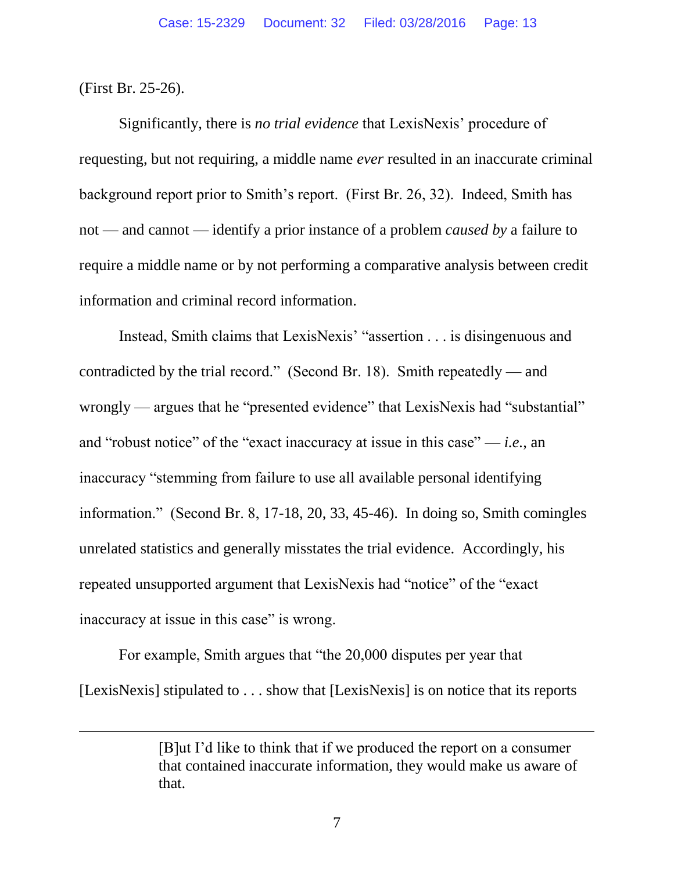(First Br. 25-26).

 $\overline{a}$ 

Significantly, there is *no trial evidence* that LexisNexis' procedure of requesting, but not requiring, a middle name *ever* resulted in an inaccurate criminal background report prior to Smith's report. (First Br. 26, 32). Indeed, Smith has not — and cannot — identify a prior instance of a problem *caused by* a failure to require a middle name or by not performing a comparative analysis between credit information and criminal record information.

Instead, Smith claims that LexisNexis' "assertion . . . is disingenuous and contradicted by the trial record." (Second Br. 18). Smith repeatedly — and wrongly — argues that he "presented evidence" that LexisNexis had "substantial" and "robust notice" of the "exact inaccuracy at issue in this case" — *i.e.*, an inaccuracy "stemming from failure to use all available personal identifying information." (Second Br. 8, 17-18, 20, 33, 45-46). In doing so, Smith comingles unrelated statistics and generally misstates the trial evidence. Accordingly, his repeated unsupported argument that LexisNexis had "notice" of the "exact inaccuracy at issue in this case" is wrong.

For example, Smith argues that "the 20,000 disputes per year that [LexisNexis] stipulated to . . . show that [LexisNexis] is on notice that its reports

<sup>[</sup>B]ut I'd like to think that if we produced the report on a consumer that contained inaccurate information, they would make us aware of that.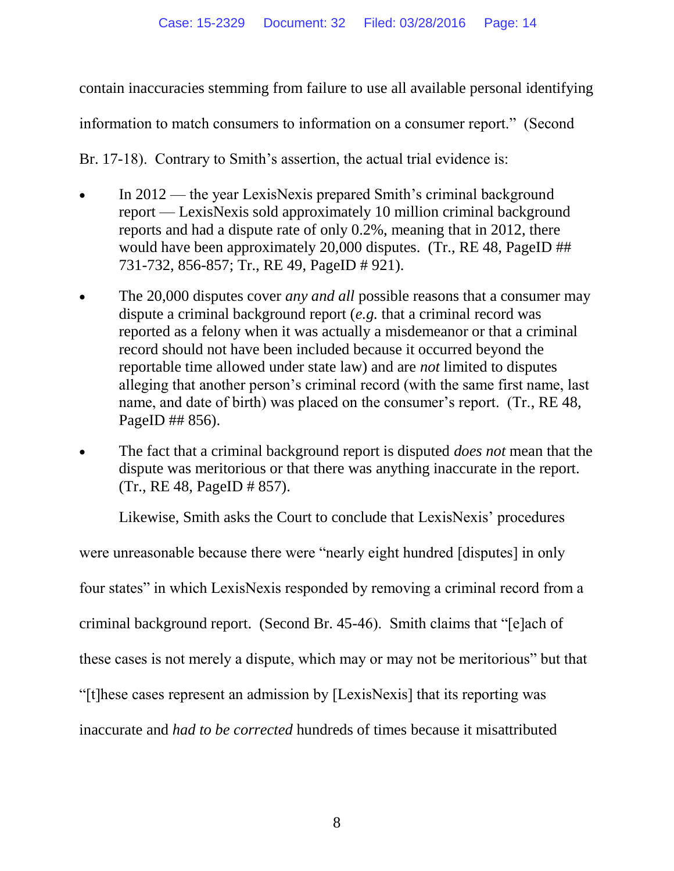contain inaccuracies stemming from failure to use all available personal identifying

information to match consumers to information on a consumer report." (Second

Br. 17-18). Contrary to Smith's assertion, the actual trial evidence is:

- In 2012 the year LexisNexis prepared Smith's criminal background report — LexisNexis sold approximately 10 million criminal background reports and had a dispute rate of only 0.2%, meaning that in 2012, there would have been approximately 20,000 disputes. (Tr., RE 48, PageID ## 731-732, 856-857; Tr., RE 49, PageID # 921).
- The 20,000 disputes cover *any and all* possible reasons that a consumer may dispute a criminal background report (*e.g.* that a criminal record was reported as a felony when it was actually a misdemeanor or that a criminal record should not have been included because it occurred beyond the reportable time allowed under state law) and are *not* limited to disputes alleging that another person's criminal record (with the same first name, last name, and date of birth) was placed on the consumer's report. (Tr., RE 48, PageID ## 856).
- The fact that a criminal background report is disputed *does not* mean that the dispute was meritorious or that there was anything inaccurate in the report. (Tr., RE 48, PageID # 857).

Likewise, Smith asks the Court to conclude that LexisNexis' procedures

were unreasonable because there were "nearly eight hundred [disputes] in only four states" in which LexisNexis responded by removing a criminal record from a criminal background report. (Second Br. 45-46). Smith claims that "[e]ach of these cases is not merely a dispute, which may or may not be meritorious" but that "[t]hese cases represent an admission by [LexisNexis] that its reporting was inaccurate and *had to be corrected* hundreds of times because it misattributed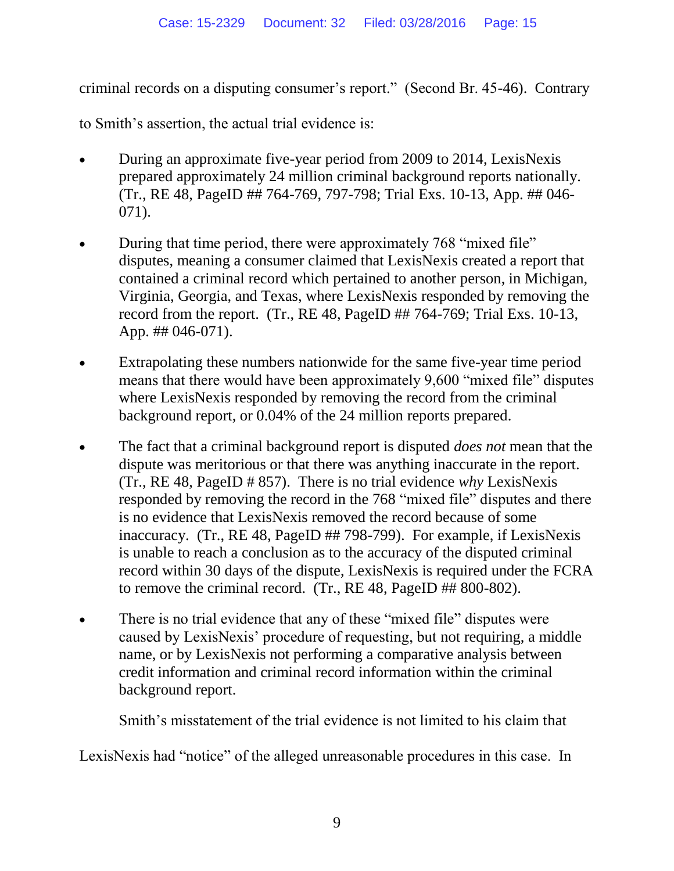criminal records on a disputing consumer's report." (Second Br. 45-46). Contrary

to Smith's assertion, the actual trial evidence is:

- During an approximate five-year period from 2009 to 2014, LexisNexis prepared approximately 24 million criminal background reports nationally. (Tr., RE 48, PageID ## 764-769, 797-798; Trial Exs. 10-13, App. ## 046- 071).
- During that time period, there were approximately 768 "mixed file" disputes, meaning a consumer claimed that LexisNexis created a report that contained a criminal record which pertained to another person, in Michigan, Virginia, Georgia, and Texas, where LexisNexis responded by removing the record from the report. (Tr., RE 48, PageID ## 764-769; Trial Exs. 10-13, App. ## 046-071).
- Extrapolating these numbers nationwide for the same five-year time period means that there would have been approximately 9,600 "mixed file" disputes where LexisNexis responded by removing the record from the criminal background report, or 0.04% of the 24 million reports prepared.
- The fact that a criminal background report is disputed *does not* mean that the dispute was meritorious or that there was anything inaccurate in the report. (Tr., RE 48, PageID # 857). There is no trial evidence *why* LexisNexis responded by removing the record in the 768 "mixed file" disputes and there is no evidence that LexisNexis removed the record because of some inaccuracy. (Tr., RE 48, PageID ## 798-799). For example, if LexisNexis is unable to reach a conclusion as to the accuracy of the disputed criminal record within 30 days of the dispute, LexisNexis is required under the FCRA to remove the criminal record. (Tr., RE 48, PageID ## 800-802).
- There is no trial evidence that any of these "mixed file" disputes were caused by LexisNexis' procedure of requesting, but not requiring, a middle name, or by LexisNexis not performing a comparative analysis between credit information and criminal record information within the criminal background report.

Smith's misstatement of the trial evidence is not limited to his claim that

LexisNexis had "notice" of the alleged unreasonable procedures in this case. In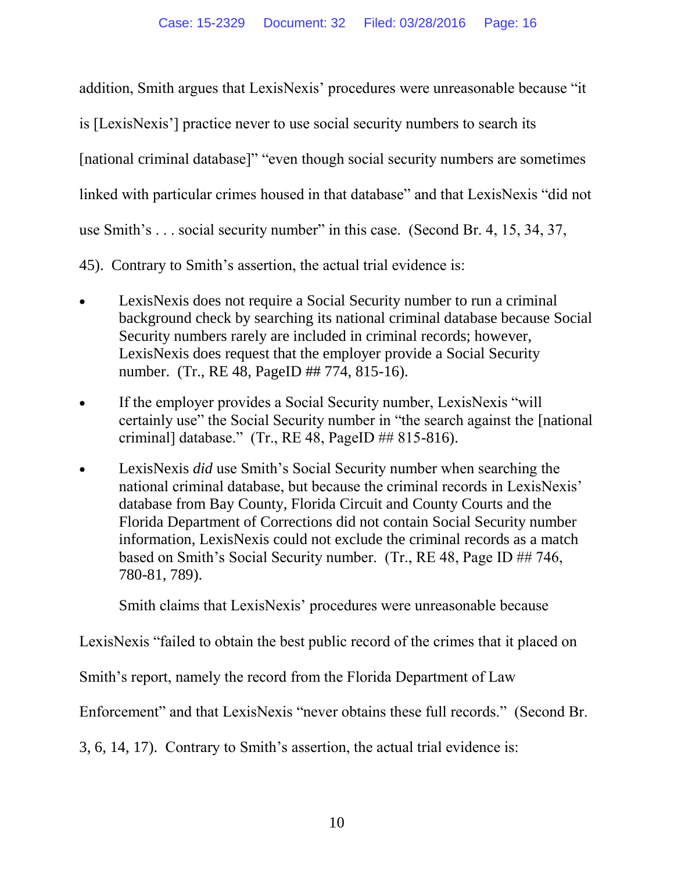addition, Smith argues that LexisNexis' procedures were unreasonable because "it

is [LexisNexis'] practice never to use social security numbers to search its

[national criminal database]" "even though social security numbers are sometimes

linked with particular crimes housed in that database" and that LexisNexis "did not

use Smith's . . . social security number" in this case. (Second Br. 4, 15, 34, 37,

45). Contrary to Smith's assertion, the actual trial evidence is:

- LexisNexis does not require a Social Security number to run a criminal background check by searching its national criminal database because Social Security numbers rarely are included in criminal records; however, LexisNexis does request that the employer provide a Social Security number. (Tr., RE 48, PageID ## 774, 815-16).
- If the employer provides a Social Security number, LexisNexis "will certainly use" the Social Security number in "the search against the [national criminal] database." (Tr., RE 48, PageID ## 815-816).
- LexisNexis *did* use Smith's Social Security number when searching the national criminal database, but because the criminal records in LexisNexis' database from Bay County, Florida Circuit and County Courts and the Florida Department of Corrections did not contain Social Security number information, LexisNexis could not exclude the criminal records as a match based on Smith's Social Security number. (Tr., RE 48, Page ID ## 746, 780-81, 789).

Smith claims that LexisNexis' procedures were unreasonable because

LexisNexis "failed to obtain the best public record of the crimes that it placed on

Smith's report, namely the record from the Florida Department of Law

Enforcement" and that LexisNexis "never obtains these full records." (Second Br.

3, 6, 14, 17). Contrary to Smith's assertion, the actual trial evidence is: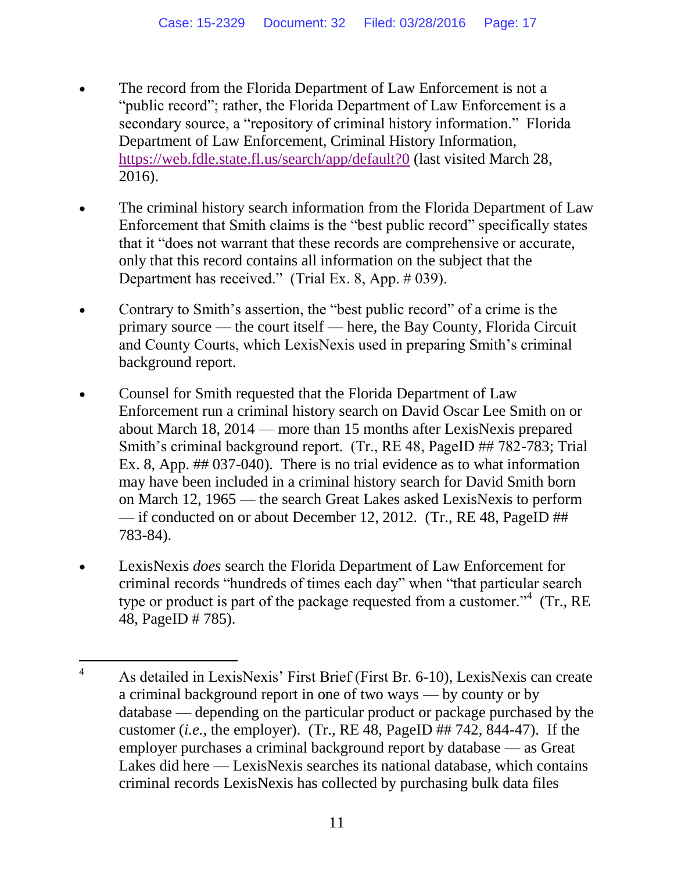- The record from the Florida Department of Law Enforcement is not a "public record"; rather, the Florida Department of Law Enforcement is a secondary source, a "repository of criminal history information." Florida Department of Law Enforcement, Criminal History Information, <https://web.fdle.state.fl.us/search/app/default?0> (last visited March 28, 2016).
- The criminal history search information from the Florida Department of Law Enforcement that Smith claims is the "best public record" specifically states that it "does not warrant that these records are comprehensive or accurate, only that this record contains all information on the subject that the Department has received." (Trial Ex. 8, App. # 039).
- Contrary to Smith's assertion, the "best public record" of a crime is the primary source — the court itself — here, the Bay County, Florida Circuit and County Courts, which LexisNexis used in preparing Smith's criminal background report.
- Counsel for Smith requested that the Florida Department of Law Enforcement run a criminal history search on David Oscar Lee Smith on or about March 18, 2014 — more than 15 months after LexisNexis prepared Smith's criminal background report. (Tr., RE 48, PageID ## 782-783; Trial Ex. 8, App. ## 037-040). There is no trial evidence as to what information may have been included in a criminal history search for David Smith born on March 12, 1965 — the search Great Lakes asked LexisNexis to perform — if conducted on or about December 12, 2012. (Tr., RE 48, PageID ## 783-84).
- LexisNexis *does* search the Florida Department of Law Enforcement for criminal records "hundreds of times each day" when "that particular search type or product is part of the package requested from a customer."<sup>4</sup> (Tr., RE 48, PageID # 785).

 $\overline{4}$ <sup>4</sup> As detailed in LexisNexis' First Brief (First Br. 6-10), LexisNexis can create a criminal background report in one of two ways — by county or by database — depending on the particular product or package purchased by the customer (*i.e.*, the employer). (Tr., RE 48, PageID ## 742, 844-47). If the employer purchases a criminal background report by database — as Great Lakes did here — LexisNexis searches its national database, which contains criminal records LexisNexis has collected by purchasing bulk data files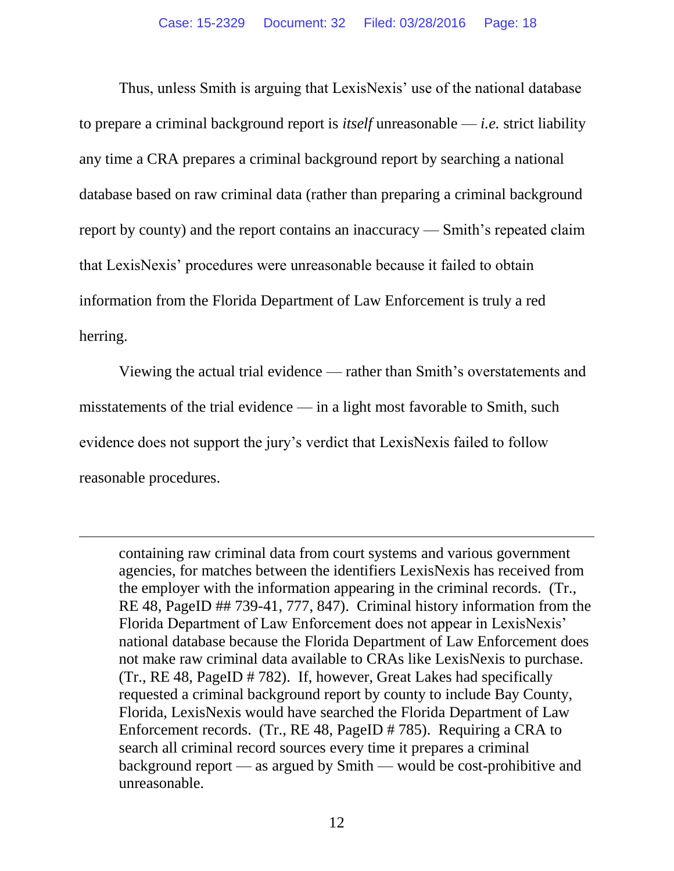Thus, unless Smith is arguing that LexisNexis' use of the national database to prepare a criminal background report is *itself* unreasonable — *i.e.* strict liability any time a CRA prepares a criminal background report by searching a national database based on raw criminal data (rather than preparing a criminal background report by county) and the report contains an inaccuracy — Smith's repeated claim that LexisNexis' procedures were unreasonable because it failed to obtain information from the Florida Department of Law Enforcement is truly a red herring.

Viewing the actual trial evidence — rather than Smith's overstatements and misstatements of the trial evidence — in a light most favorable to Smith, such evidence does not support the jury's verdict that LexisNexis failed to follow reasonable procedures.

 $\overline{a}$ 

containing raw criminal data from court systems and various government agencies, for matches between the identifiers LexisNexis has received from the employer with the information appearing in the criminal records. (Tr., RE 48, PageID ## 739-41, 777, 847). Criminal history information from the Florida Department of Law Enforcement does not appear in LexisNexis' national database because the Florida Department of Law Enforcement does not make raw criminal data available to CRAs like LexisNexis to purchase. (Tr., RE 48, PageID # 782). If, however, Great Lakes had specifically requested a criminal background report by county to include Bay County, Florida, LexisNexis would have searched the Florida Department of Law Enforcement records. (Tr., RE 48, PageID # 785). Requiring a CRA to search all criminal record sources every time it prepares a criminal background report — as argued by Smith — would be cost-prohibitive and unreasonable.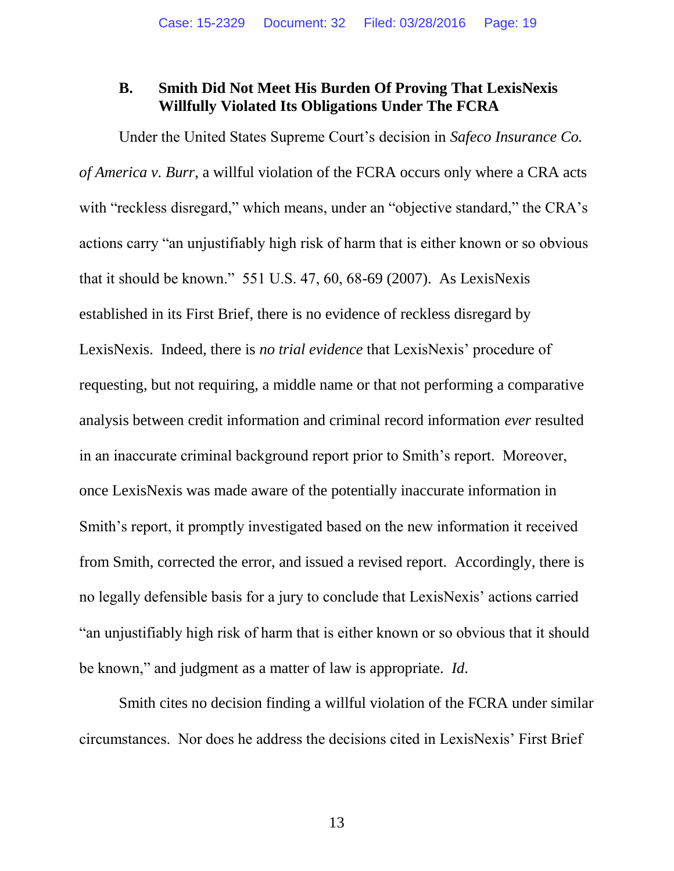### <span id="page-18-0"></span>**B. Smith Did Not Meet His Burden Of Proving That LexisNexis Willfully Violated Its Obligations Under The FCRA**

Under the United States Supreme Court's decision in *Safeco Insurance Co. of America v. Burr*, a willful violation of the FCRA occurs only where a CRA acts with "reckless disregard," which means, under an "objective standard," the CRA's actions carry "an unjustifiably high risk of harm that is either known or so obvious that it should be known." 551 U.S. 47, 60, 68-69 (2007). As LexisNexis established in its First Brief, there is no evidence of reckless disregard by LexisNexis. Indeed, there is *no trial evidence* that LexisNexis' procedure of requesting, but not requiring, a middle name or that not performing a comparative analysis between credit information and criminal record information *ever* resulted in an inaccurate criminal background report prior to Smith's report. Moreover, once LexisNexis was made aware of the potentially inaccurate information in Smith's report, it promptly investigated based on the new information it received from Smith, corrected the error, and issued a revised report. Accordingly, there is no legally defensible basis for a jury to conclude that LexisNexis' actions carried "an unjustifiably high risk of harm that is either known or so obvious that it should be known," and judgment as a matter of law is appropriate. *Id*.

Smith cites no decision finding a willful violation of the FCRA under similar circumstances. Nor does he address the decisions cited in LexisNexis' First Brief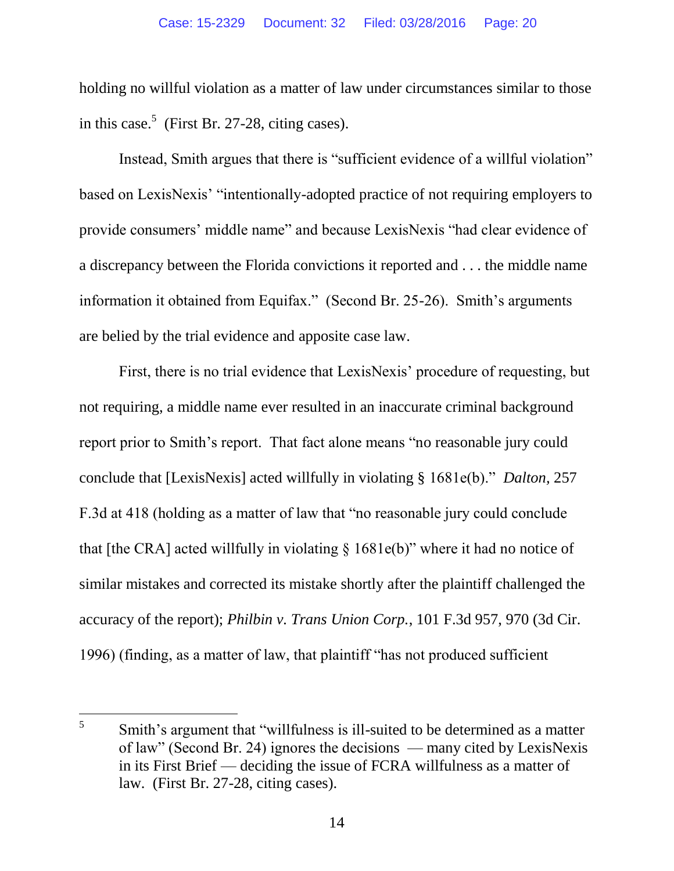holding no willful violation as a matter of law under circumstances similar to those in this case.<sup>5</sup> (First Br. 27-28, citing cases).

Instead, Smith argues that there is "sufficient evidence of a willful violation" based on LexisNexis' "intentionally-adopted practice of not requiring employers to provide consumers' middle name" and because LexisNexis "had clear evidence of a discrepancy between the Florida convictions it reported and . . . the middle name information it obtained from Equifax." (Second Br. 25-26). Smith's arguments are belied by the trial evidence and apposite case law.

<span id="page-19-0"></span>First, there is no trial evidence that LexisNexis' procedure of requesting, but not requiring, a middle name ever resulted in an inaccurate criminal background report prior to Smith's report. That fact alone means "no reasonable jury could conclude that [LexisNexis] acted willfully in violating § 1681e(b)." *Dalton,* 257 F.3d at 418 (holding as a matter of law that "no reasonable jury could conclude that [the CRA] acted willfully in violating § 1681e(b)" where it had no notice of similar mistakes and corrected its mistake shortly after the plaintiff challenged the accuracy of the report); *Philbin v. Trans Union Corp.*, 101 F.3d 957, 970 (3d Cir. 1996) (finding, as a matter of law, that plaintiff "has not produced sufficient

<span id="page-19-1"></span> $\overline{a}$ 

<sup>5</sup> Smith's argument that "willfulness is ill-suited to be determined as a matter of law" (Second Br. 24) ignores the decisions — many cited by LexisNexis in its First Brief — deciding the issue of FCRA willfulness as a matter of law. (First Br. 27-28, citing cases).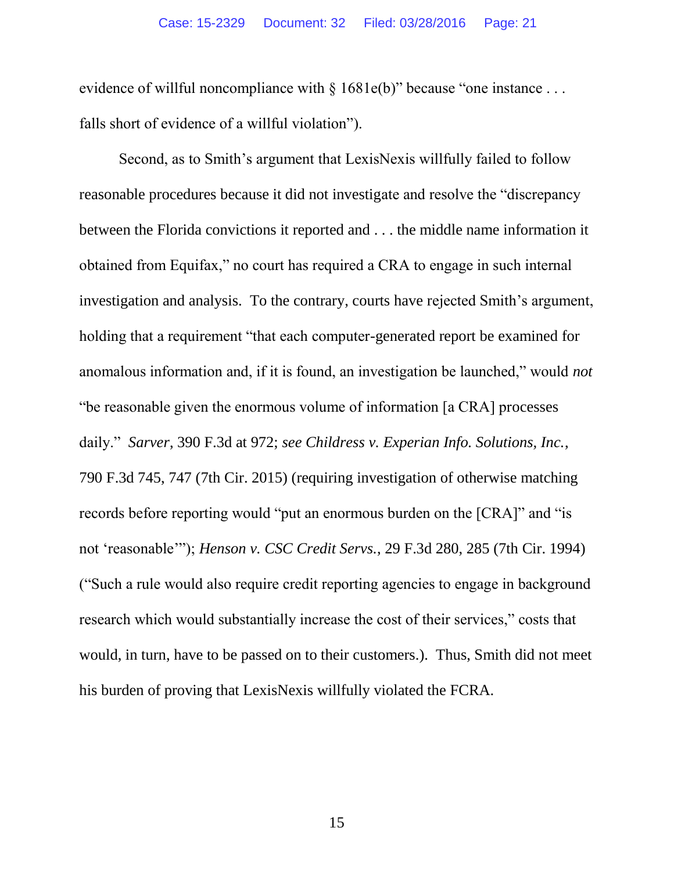evidence of willful noncompliance with § 1681e(b)" because "one instance ... falls short of evidence of a willful violation").

<span id="page-20-1"></span><span id="page-20-0"></span>Second, as to Smith's argument that LexisNexis willfully failed to follow reasonable procedures because it did not investigate and resolve the "discrepancy between the Florida convictions it reported and . . . the middle name information it obtained from Equifax," no court has required a CRA to engage in such internal investigation and analysis. To the contrary, courts have rejected Smith's argument, holding that a requirement "that each computer-generated report be examined for anomalous information and, if it is found, an investigation be launched," would *not* "be reasonable given the enormous volume of information [a CRA] processes daily." *Sarver*, 390 F.3d at 972; *see Childress v. Experian Info. Solutions, Inc.*, 790 F.3d 745, 747 (7th Cir. 2015) (requiring investigation of otherwise matching records before reporting would "put an enormous burden on the [CRA]" and "is not 'reasonable'"); *Henson v. CSC Credit Servs.*, 29 F.3d 280, 285 (7th Cir. 1994) ("Such a rule would also require credit reporting agencies to engage in background research which would substantially increase the cost of their services," costs that would, in turn, have to be passed on to their customers.). Thus, Smith did not meet his burden of proving that LexisNexis willfully violated the FCRA.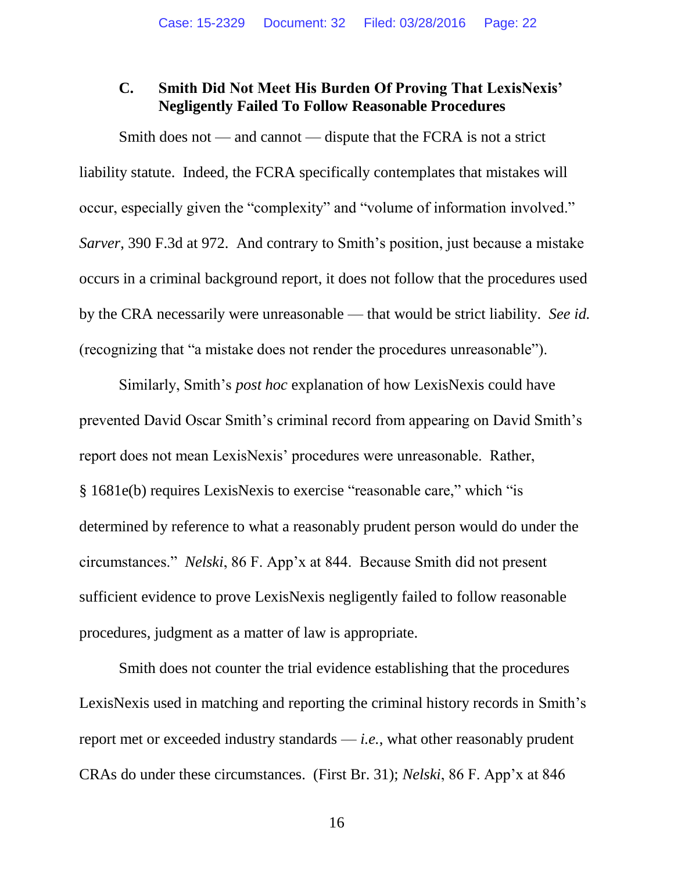#### **C. Smith Did Not Meet His Burden Of Proving That LexisNexis' Negligently Failed To Follow Reasonable Procedures**

Smith does not — and cannot — dispute that the FCRA is not a strict liability statute. Indeed, the FCRA specifically contemplates that mistakes will occur, especially given the "complexity" and "volume of information involved." *Sarver*, 390 F.3d at 972. And contrary to Smith's position, just because a mistake occurs in a criminal background report, it does not follow that the procedures used by the CRA necessarily were unreasonable — that would be strict liability. *See id.* (recognizing that "a mistake does not render the procedures unreasonable").

Similarly, Smith's *post hoc* explanation of how LexisNexis could have prevented David Oscar Smith's criminal record from appearing on David Smith's report does not mean LexisNexis' procedures were unreasonable. Rather, § 1681e(b) requires LexisNexis to exercise "reasonable care," which "is determined by reference to what a reasonably prudent person would do under the circumstances." *Nelski*, 86 F. App'x at 844. Because Smith did not present sufficient evidence to prove LexisNexis negligently failed to follow reasonable procedures, judgment as a matter of law is appropriate.

<span id="page-21-0"></span>Smith does not counter the trial evidence establishing that the procedures LexisNexis used in matching and reporting the criminal history records in Smith's report met or exceeded industry standards — *i.e.*, what other reasonably prudent CRAs do under these circumstances. (First Br. 31); *Nelski*, 86 F. App'x at 846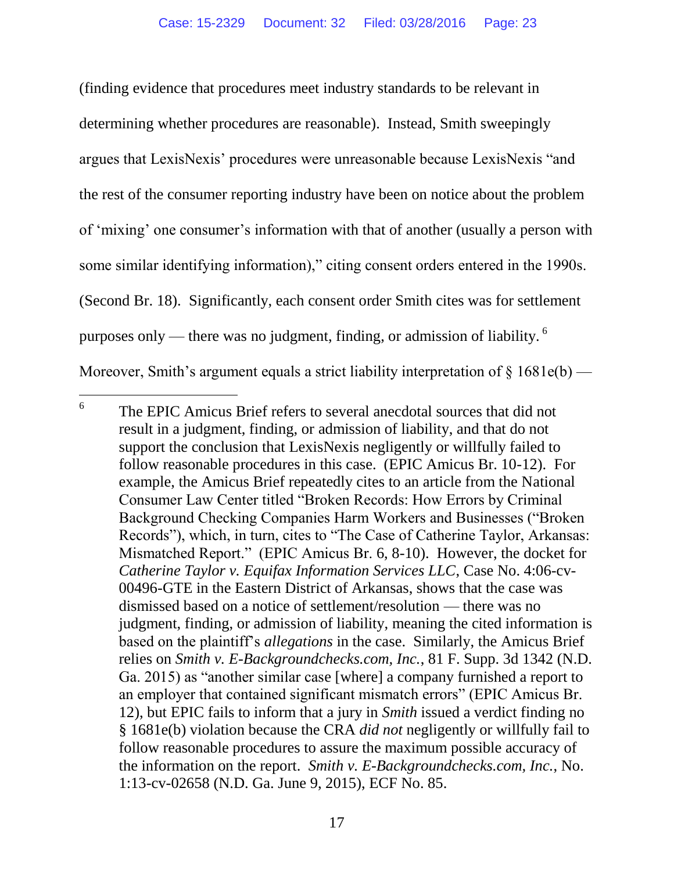(finding evidence that procedures meet industry standards to be relevant in determining whether procedures are reasonable). Instead, Smith sweepingly argues that LexisNexis' procedures were unreasonable because LexisNexis "and the rest of the consumer reporting industry have been on notice about the problem of 'mixing' one consumer's information with that of another (usually a person with some similar identifying information)," citing consent orders entered in the 1990s. (Second Br. 18). Significantly, each consent order Smith cites was for settlement purposes only — there was no judgment, finding, or admission of liability.  $6$ Moreover, Smith's argument equals a strict liability interpretation of  $\S 1681e(b)$  —

 $\overline{a}$ 

<span id="page-22-1"></span><span id="page-22-0"></span><sup>6</sup> The EPIC Amicus Brief refers to several anecdotal sources that did not result in a judgment, finding, or admission of liability, and that do not support the conclusion that LexisNexis negligently or willfully failed to follow reasonable procedures in this case. (EPIC Amicus Br. 10-12). For example, the Amicus Brief repeatedly cites to an article from the National Consumer Law Center titled "Broken Records: How Errors by Criminal Background Checking Companies Harm Workers and Businesses ("Broken Records"), which, in turn, cites to "The Case of Catherine Taylor, Arkansas: Mismatched Report." (EPIC Amicus Br. 6, 8-10). However, the docket for *Catherine Taylor v. Equifax Information Services LLC*, Case No. 4:06-cv-00496-GTE in the Eastern District of Arkansas, shows that the case was dismissed based on a notice of settlement/resolution — there was no judgment, finding, or admission of liability, meaning the cited information is based on the plaintiff's *allegations* in the case. Similarly, the Amicus Brief relies on *Smith v. E-Backgroundchecks.com, Inc.*, 81 F. Supp. 3d 1342 (N.D. Ga. 2015) as "another similar case [where] a company furnished a report to an employer that contained significant mismatch errors" (EPIC Amicus Br. 12), but EPIC fails to inform that a jury in *Smith* issued a verdict finding no § 1681e(b) violation because the CRA *did not* negligently or willfully fail to follow reasonable procedures to assure the maximum possible accuracy of the information on the report. *Smith v. E-Backgroundchecks.com, Inc.*, No. 1:13-cv-02658 (N.D. Ga. June 9, 2015), ECF No. 85.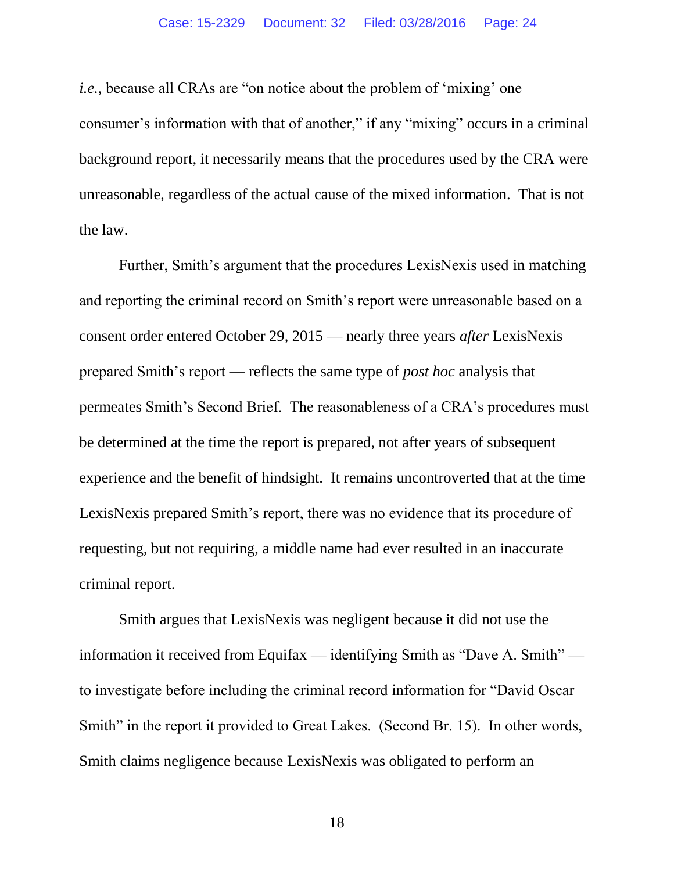*i.e.*, because all CRAs are "on notice about the problem of 'mixing' one consumer's information with that of another," if any "mixing" occurs in a criminal background report, it necessarily means that the procedures used by the CRA were unreasonable, regardless of the actual cause of the mixed information. That is not the law.

Further, Smith's argument that the procedures LexisNexis used in matching and reporting the criminal record on Smith's report were unreasonable based on a consent order entered October 29, 2015 — nearly three years *after* LexisNexis prepared Smith's report — reflects the same type of *post hoc* analysis that permeates Smith's Second Brief. The reasonableness of a CRA's procedures must be determined at the time the report is prepared, not after years of subsequent experience and the benefit of hindsight. It remains uncontroverted that at the time LexisNexis prepared Smith's report, there was no evidence that its procedure of requesting, but not requiring, a middle name had ever resulted in an inaccurate criminal report.

Smith argues that LexisNexis was negligent because it did not use the information it received from Equifax — identifying Smith as "Dave A. Smith" to investigate before including the criminal record information for "David Oscar Smith" in the report it provided to Great Lakes. (Second Br. 15). In other words, Smith claims negligence because LexisNexis was obligated to perform an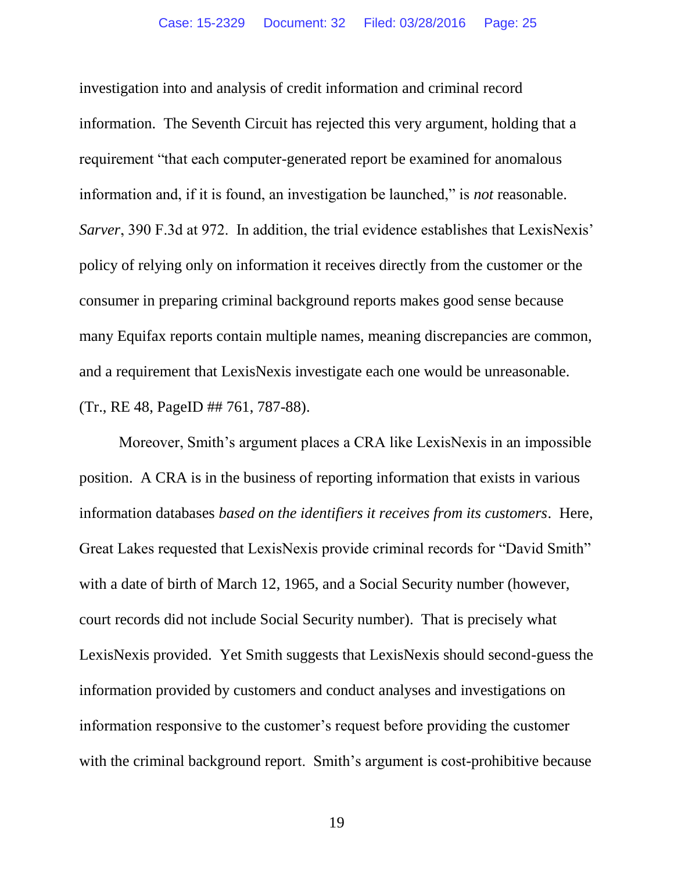investigation into and analysis of credit information and criminal record information. The Seventh Circuit has rejected this very argument, holding that a requirement "that each computer-generated report be examined for anomalous information and, if it is found, an investigation be launched," is *not* reasonable. *Sarver*, 390 F.3d at 972. In addition, the trial evidence establishes that LexisNexis' policy of relying only on information it receives directly from the customer or the consumer in preparing criminal background reports makes good sense because many Equifax reports contain multiple names, meaning discrepancies are common, and a requirement that LexisNexis investigate each one would be unreasonable. (Tr., RE 48, PageID ## 761, 787-88).

Moreover, Smith's argument places a CRA like LexisNexis in an impossible position. A CRA is in the business of reporting information that exists in various information databases *based on the identifiers it receives from its customers*. Here, Great Lakes requested that LexisNexis provide criminal records for "David Smith" with a date of birth of March 12, 1965, and a Social Security number (however, court records did not include Social Security number). That is precisely what LexisNexis provided. Yet Smith suggests that LexisNexis should second-guess the information provided by customers and conduct analyses and investigations on information responsive to the customer's request before providing the customer with the criminal background report. Smith's argument is cost-prohibitive because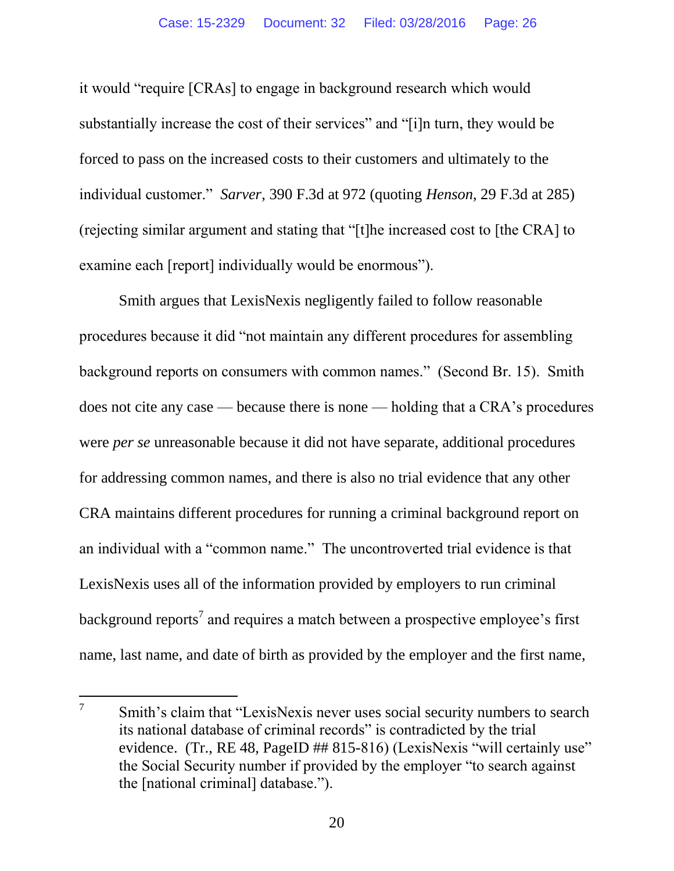it would "require [CRAs] to engage in background research which would substantially increase the cost of their services" and "[i]n turn, they would be forced to pass on the increased costs to their customers and ultimately to the individual customer." *Sarver*, 390 F.3d at 972 (quoting *Henson*, 29 F.3d at 285) (rejecting similar argument and stating that "[t]he increased cost to [the CRA] to examine each [report] individually would be enormous").

Smith argues that LexisNexis negligently failed to follow reasonable procedures because it did "not maintain any different procedures for assembling background reports on consumers with common names." (Second Br. 15). Smith does not cite any case — because there is none — holding that a CRA's procedures were *per se* unreasonable because it did not have separate, additional procedures for addressing common names, and there is also no trial evidence that any other CRA maintains different procedures for running a criminal background report on an individual with a "common name." The uncontroverted trial evidence is that LexisNexis uses all of the information provided by employers to run criminal background reports<sup>7</sup> and requires a match between a prospective employee's first name, last name, and date of birth as provided by the employer and the first name,

 $\overline{a}$ 7 Smith's claim that "LexisNexis never uses social security numbers to search its national database of criminal records" is contradicted by the trial evidence. (Tr., RE 48, PageID ## 815-816) (LexisNexis "will certainly use" the Social Security number if provided by the employer "to search against the [national criminal] database.").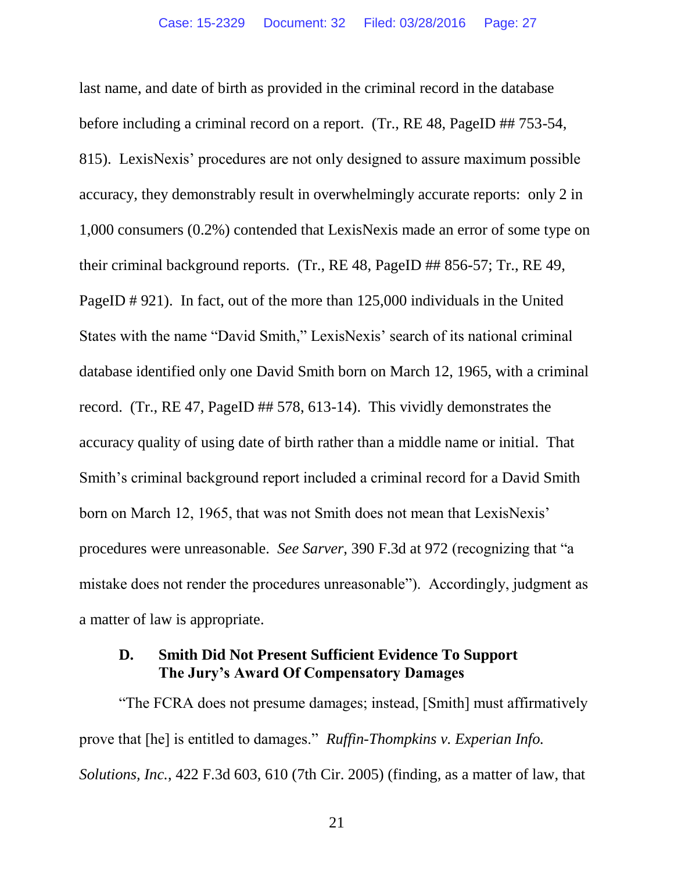last name, and date of birth as provided in the criminal record in the database before including a criminal record on a report. (Tr., RE 48, PageID ## 753-54, 815). LexisNexis' procedures are not only designed to assure maximum possible accuracy, they demonstrably result in overwhelmingly accurate reports: only 2 in 1,000 consumers (0.2%) contended that LexisNexis made an error of some type on their criminal background reports. (Tr., RE 48, PageID ## 856-57; Tr., RE 49, PageID # 921). In fact, out of the more than 125,000 individuals in the United States with the name "David Smith," LexisNexis' search of its national criminal database identified only one David Smith born on March 12, 1965, with a criminal record. (Tr., RE 47, PageID ## 578, 613-14). This vividly demonstrates the accuracy quality of using date of birth rather than a middle name or initial. That Smith's criminal background report included a criminal record for a David Smith born on March 12, 1965, that was not Smith does not mean that LexisNexis' procedures were unreasonable. *See Sarver*, 390 F.3d at 972 (recognizing that "a mistake does not render the procedures unreasonable"). Accordingly, judgment as a matter of law is appropriate.

### <span id="page-26-0"></span>**D. Smith Did Not Present Sufficient Evidence To Support The Jury's Award Of Compensatory Damages**

"The FCRA does not presume damages; instead, [Smith] must affirmatively prove that [he] is entitled to damages." *Ruffin-Thompkins v. Experian Info. Solutions, Inc.*, 422 F.3d 603, 610 (7th Cir. 2005) (finding, as a matter of law, that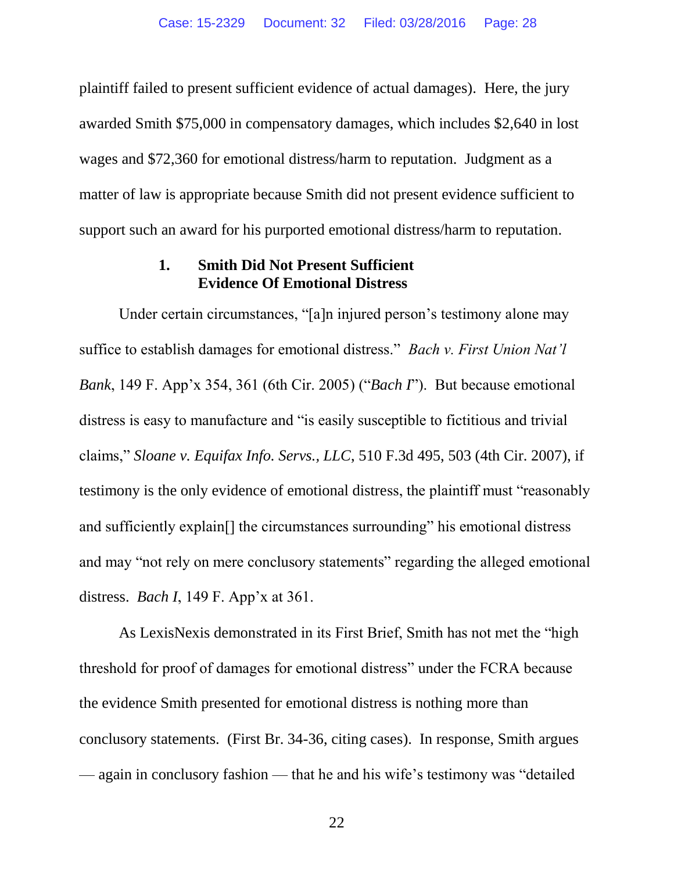plaintiff failed to present sufficient evidence of actual damages). Here, the jury awarded Smith \$75,000 in compensatory damages, which includes \$2,640 in lost wages and \$72,360 for emotional distress/harm to reputation. Judgment as a matter of law is appropriate because Smith did not present evidence sufficient to support such an award for his purported emotional distress/harm to reputation.

### <span id="page-27-0"></span>**1. Smith Did Not Present Sufficient Evidence Of Emotional Distress**

<span id="page-27-1"></span>Under certain circumstances, "[a]n injured person's testimony alone may suffice to establish damages for emotional distress." *Bach v. First Union Nat'l Bank*, 149 F. App'x 354, 361 (6th Cir. 2005) ("*Bach I*"). But because emotional distress is easy to manufacture and "is easily susceptible to fictitious and trivial claims," *Sloane v. Equifax Info. Servs., LLC*, 510 F.3d 495, 503 (4th Cir. 2007), if testimony is the only evidence of emotional distress, the plaintiff must "reasonably and sufficiently explain[] the circumstances surrounding" his emotional distress and may "not rely on mere conclusory statements" regarding the alleged emotional distress. *Bach I*, 149 F. App'x at 361.

As LexisNexis demonstrated in its First Brief, Smith has not met the "high threshold for proof of damages for emotional distress" under the FCRA because the evidence Smith presented for emotional distress is nothing more than conclusory statements. (First Br. 34-36, citing cases). In response, Smith argues — again in conclusory fashion — that he and his wife's testimony was "detailed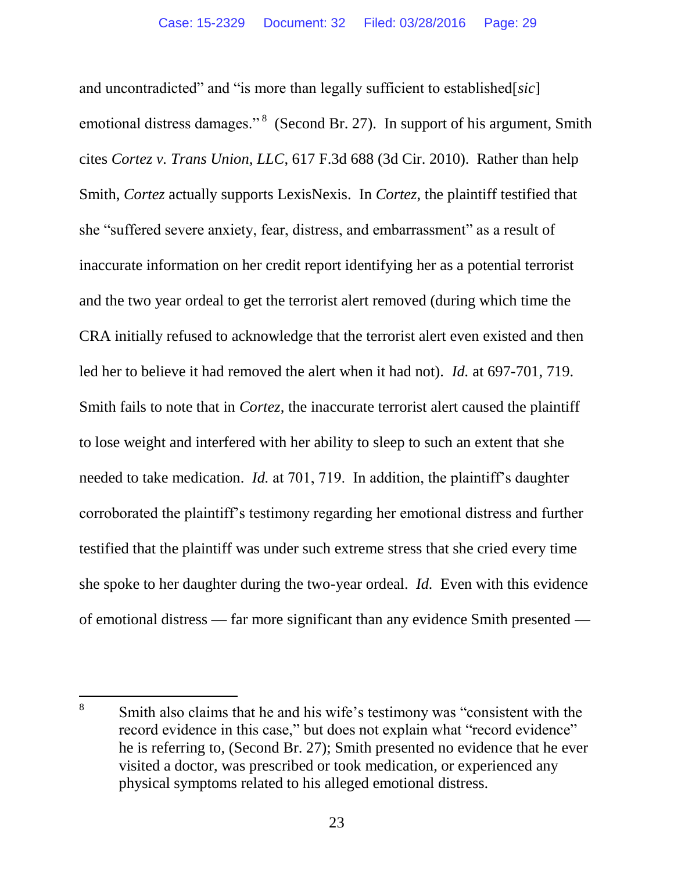<span id="page-28-0"></span>and uncontradicted" and "is more than legally sufficient to established[*sic*] emotional distress damages."<sup>8</sup> (Second Br. 27). In support of his argument, Smith cites *Cortez v. Trans Union, LLC*, 617 F.3d 688 (3d Cir. 2010). Rather than help Smith, *Cortez* actually supports LexisNexis. In *Cortez*, the plaintiff testified that she "suffered severe anxiety, fear, distress, and embarrassment" as a result of inaccurate information on her credit report identifying her as a potential terrorist and the two year ordeal to get the terrorist alert removed (during which time the CRA initially refused to acknowledge that the terrorist alert even existed and then led her to believe it had removed the alert when it had not). *Id.* at 697-701, 719. Smith fails to note that in *Cortez*, the inaccurate terrorist alert caused the plaintiff to lose weight and interfered with her ability to sleep to such an extent that she needed to take medication. *Id.* at 701, 719. In addition, the plaintiff's daughter corroborated the plaintiff's testimony regarding her emotional distress and further testified that the plaintiff was under such extreme stress that she cried every time she spoke to her daughter during the two-year ordeal. *Id.* Even with this evidence of emotional distress — far more significant than any evidence Smith presented —

 $\overline{a}$ 

<sup>8</sup> Smith also claims that he and his wife's testimony was "consistent with the record evidence in this case," but does not explain what "record evidence" he is referring to, (Second Br. 27); Smith presented no evidence that he ever visited a doctor, was prescribed or took medication, or experienced any physical symptoms related to his alleged emotional distress.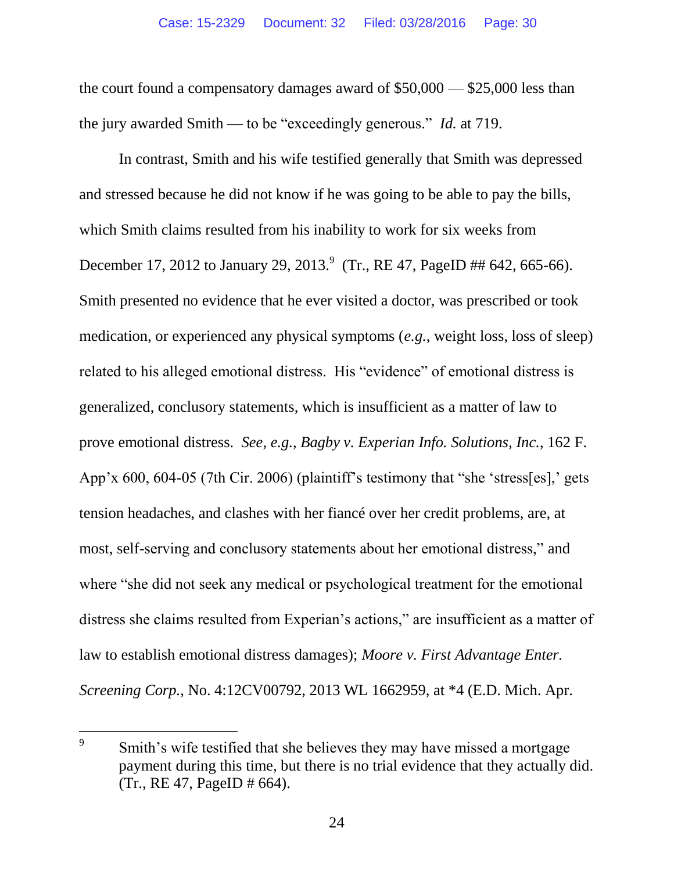the court found a compensatory damages award of \$50,000 — \$25,000 less than the jury awarded Smith — to be "exceedingly generous." *Id.* at 719.

<span id="page-29-0"></span>In contrast, Smith and his wife testified generally that Smith was depressed and stressed because he did not know if he was going to be able to pay the bills, which Smith claims resulted from his inability to work for six weeks from December 17, 2012 to January 29, 2013.<sup>9</sup> (Tr., RE 47, PageID ## 642, 665-66). Smith presented no evidence that he ever visited a doctor, was prescribed or took medication, or experienced any physical symptoms (*e.g.*, weight loss, loss of sleep) related to his alleged emotional distress. His "evidence" of emotional distress is generalized, conclusory statements, which is insufficient as a matter of law to prove emotional distress. *See, e.g.*, *Bagby v. Experian Info. Solutions, Inc.*, 162 F. App'x 600, 604-05 (7th Cir. 2006) (plaintiff's testimony that "she 'stress[es],' gets tension headaches, and clashes with her fiancé over her credit problems, are, at most, self-serving and conclusory statements about her emotional distress," and where "she did not seek any medical or psychological treatment for the emotional distress she claims resulted from Experian's actions," are insufficient as a matter of law to establish emotional distress damages); *Moore v. First Advantage Enter. Screening Corp.*, No. 4:12CV00792, 2013 WL 1662959, at \*4 (E.D. Mich. Apr.

<span id="page-29-1"></span> $\overline{a}$ 

<sup>9</sup> Smith's wife testified that she believes they may have missed a mortgage payment during this time, but there is no trial evidence that they actually did. (Tr., RE 47, PageID # 664).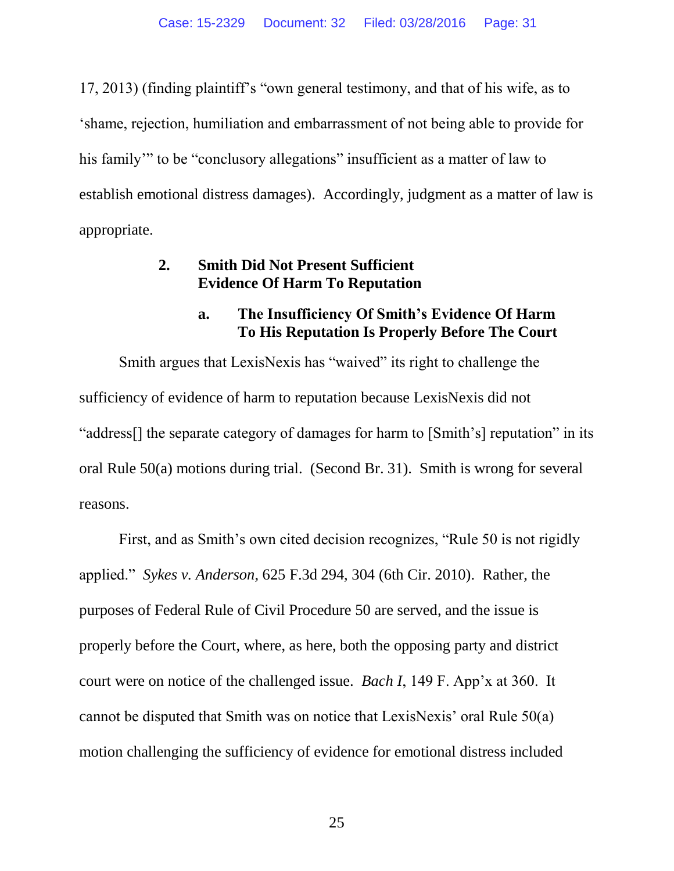17, 2013) (finding plaintiff's "own general testimony, and that of his wife, as to 'shame, rejection, humiliation and embarrassment of not being able to provide for his family" to be "conclusory allegations" insufficient as a matter of law to establish emotional distress damages). Accordingly, judgment as a matter of law is appropriate.

## **2. Smith Did Not Present Sufficient Evidence Of Harm To Reputation**

## <span id="page-30-1"></span>**a. The Insufficiency Of Smith's Evidence Of Harm To His Reputation Is Properly Before The Court**

Smith argues that LexisNexis has "waived" its right to challenge the sufficiency of evidence of harm to reputation because LexisNexis did not "address[] the separate category of damages for harm to [Smith's] reputation" in its oral Rule 50(a) motions during trial. (Second Br. 31). Smith is wrong for several reasons.

<span id="page-30-2"></span><span id="page-30-0"></span>First, and as Smith's own cited decision recognizes, "Rule 50 is not rigidly applied." *Sykes v. Anderson*, 625 F.3d 294, 304 (6th Cir. 2010). Rather, the purposes of Federal Rule of Civil Procedure 50 are served, and the issue is properly before the Court, where, as here, both the opposing party and district court were on notice of the challenged issue. *Bach I*, 149 F. App'x at 360. It cannot be disputed that Smith was on notice that LexisNexis' oral Rule 50(a) motion challenging the sufficiency of evidence for emotional distress included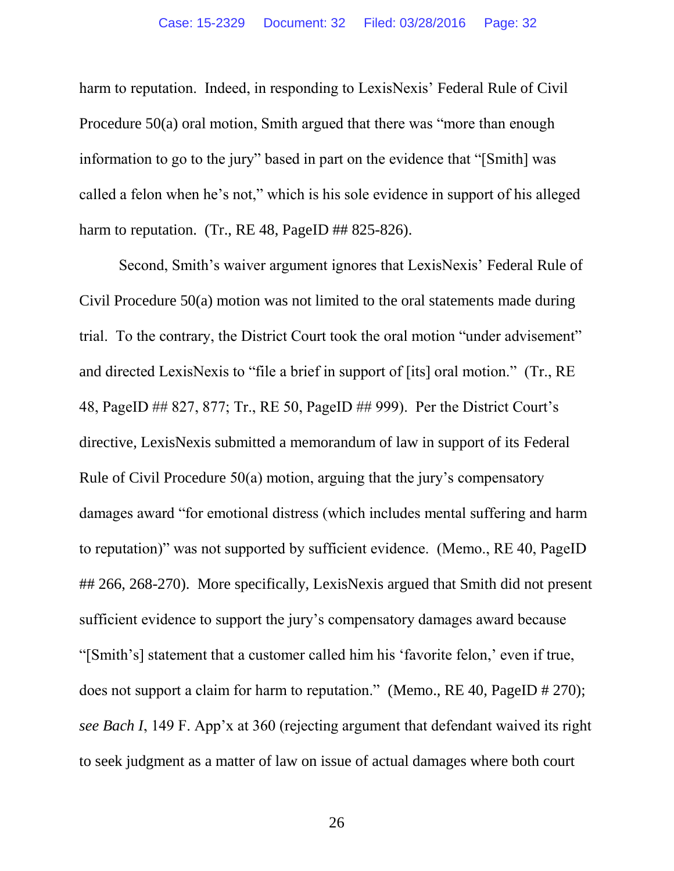harm to reputation. Indeed, in responding to LexisNexis' Federal Rule of Civil Procedure 50(a) oral motion, Smith argued that there was "more than enough information to go to the jury" based in part on the evidence that "[Smith] was called a felon when he's not," which is his sole evidence in support of his alleged harm to reputation. (Tr.,  $RE 48$ ,  $PageID$  ## 825-826).

Second, Smith's waiver argument ignores that LexisNexis' Federal Rule of Civil Procedure 50(a) motion was not limited to the oral statements made during trial. To the contrary, the District Court took the oral motion "under advisement" and directed LexisNexis to "file a brief in support of [its] oral motion." (Tr., RE 48, PageID ## 827, 877; Tr., RE 50, PageID ## 999). Per the District Court's directive, LexisNexis submitted a memorandum of law in support of its Federal Rule of Civil Procedure 50(a) motion, arguing that the jury's compensatory damages award "for emotional distress (which includes mental suffering and harm to reputation)" was not supported by sufficient evidence. (Memo., RE 40, PageID ## 266, 268-270). More specifically, LexisNexis argued that Smith did not present sufficient evidence to support the jury's compensatory damages award because "[Smith's] statement that a customer called him his 'favorite felon,' even if true, does not support a claim for harm to reputation." (Memo., RE 40, PageID # 270); *see Bach I*, 149 F. App'x at 360 (rejecting argument that defendant waived its right to seek judgment as a matter of law on issue of actual damages where both court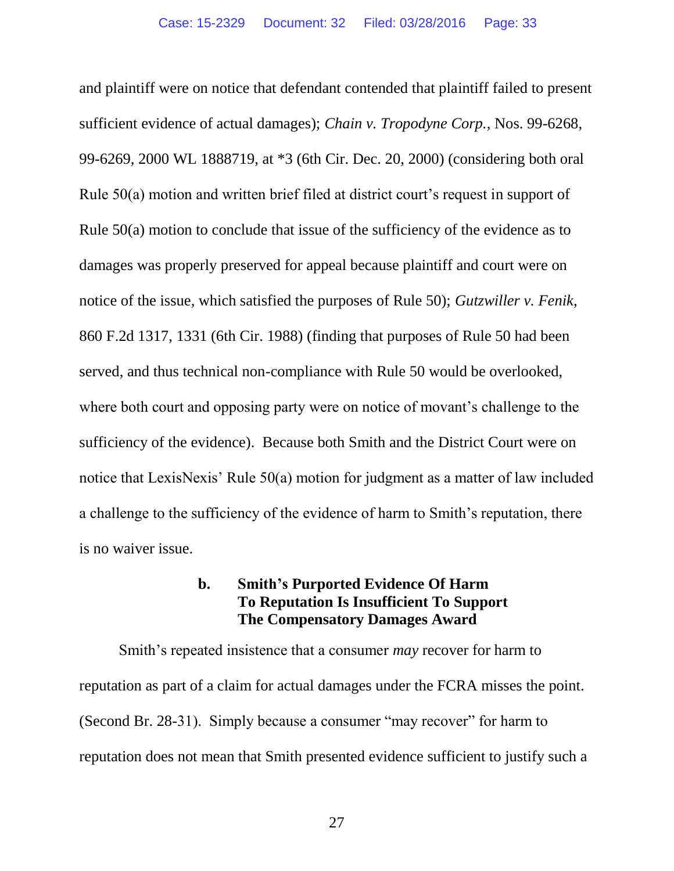<span id="page-32-3"></span><span id="page-32-0"></span>and plaintiff were on notice that defendant contended that plaintiff failed to present sufficient evidence of actual damages); *Chain v. Tropodyne Corp.*, Nos. 99-6268, 99-6269, 2000 WL 1888719, at \*3 (6th Cir. Dec. 20, 2000) (considering both oral Rule 50(a) motion and written brief filed at district court's request in support of Rule 50(a) motion to conclude that issue of the sufficiency of the evidence as to damages was properly preserved for appeal because plaintiff and court were on notice of the issue, which satisfied the purposes of Rule 50); *Gutzwiller v. Fenik*, 860 F.2d 1317, 1331 (6th Cir. 1988) (finding that purposes of Rule 50 had been served, and thus technical non-compliance with Rule 50 would be overlooked, where both court and opposing party were on notice of movant's challenge to the sufficiency of the evidence). Because both Smith and the District Court were on notice that LexisNexis' Rule 50(a) motion for judgment as a matter of law included a challenge to the sufficiency of the evidence of harm to Smith's reputation, there is no waiver issue.

### <span id="page-32-2"></span><span id="page-32-1"></span>**b. Smith's Purported Evidence Of Harm To Reputation Is Insufficient To Support The Compensatory Damages Award**

Smith's repeated insistence that a consumer *may* recover for harm to reputation as part of a claim for actual damages under the FCRA misses the point. (Second Br. 28-31). Simply because a consumer "may recover" for harm to reputation does not mean that Smith presented evidence sufficient to justify such a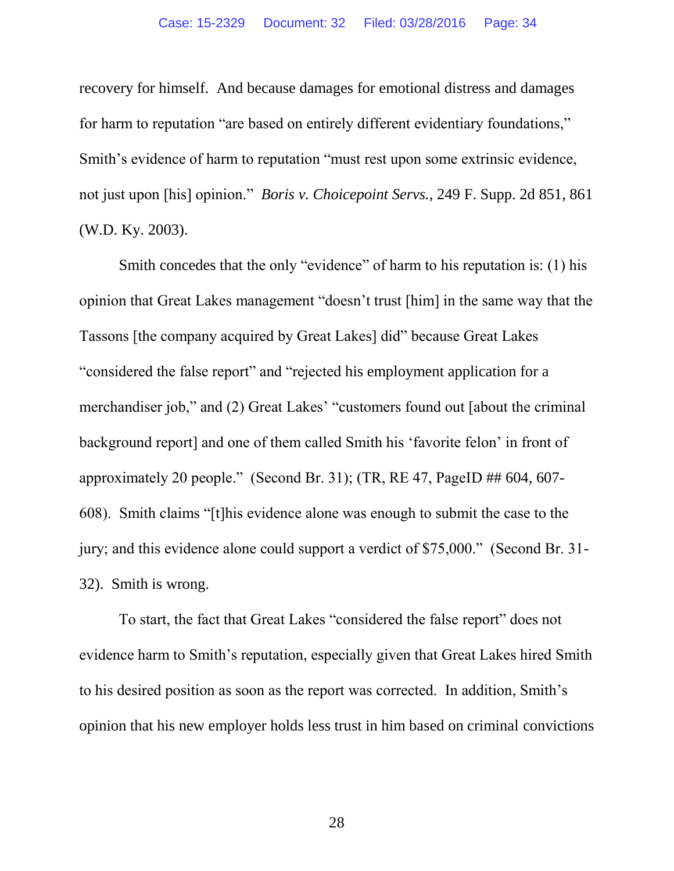recovery for himself. And because damages for emotional distress and damages for harm to reputation "are based on entirely different evidentiary foundations," Smith's evidence of harm to reputation "must rest upon some extrinsic evidence, not just upon [his] opinion." *Boris v. Choicepoint Servs.*, 249 F. Supp. 2d 851, 861 (W.D. Ky. 2003).

<span id="page-33-0"></span>Smith concedes that the only "evidence" of harm to his reputation is: (1) his opinion that Great Lakes management "doesn't trust [him] in the same way that the Tassons [the company acquired by Great Lakes] did" because Great Lakes "considered the false report" and "rejected his employment application for a merchandiser job," and (2) Great Lakes' "customers found out [about the criminal background report] and one of them called Smith his 'favorite felon' in front of approximately 20 people." (Second Br. 31); (TR, RE 47, PageID ## 604, 607- 608). Smith claims "[t]his evidence alone was enough to submit the case to the jury; and this evidence alone could support a verdict of \$75,000." (Second Br. 31- 32). Smith is wrong.

To start, the fact that Great Lakes "considered the false report" does not evidence harm to Smith's reputation, especially given that Great Lakes hired Smith to his desired position as soon as the report was corrected. In addition, Smith's opinion that his new employer holds less trust in him based on criminal convictions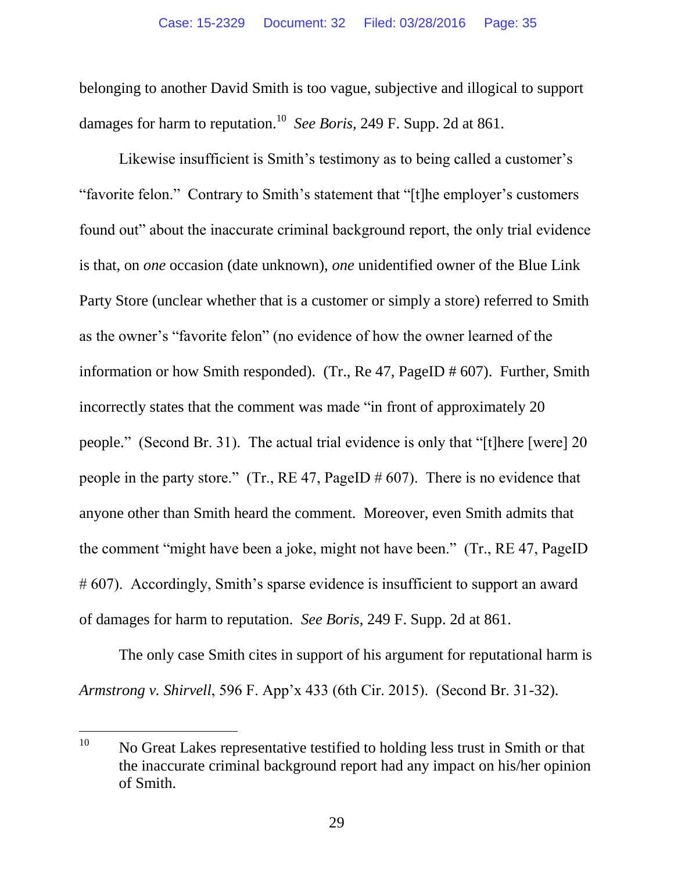<span id="page-34-1"></span>belonging to another David Smith is too vague, subjective and illogical to support damages for harm to reputation.<sup>10</sup> See Boris, 249 F. Supp. 2d at 861.

Likewise insufficient is Smith's testimony as to being called a customer's "favorite felon." Contrary to Smith's statement that "[t]he employer's customers found out" about the inaccurate criminal background report, the only trial evidence is that, on *one* occasion (date unknown), *one* unidentified owner of the Blue Link Party Store (unclear whether that is a customer or simply a store) referred to Smith as the owner's "favorite felon" (no evidence of how the owner learned of the information or how Smith responded). (Tr., Re 47, PageID # 607). Further, Smith incorrectly states that the comment was made "in front of approximately 20 people." (Second Br. 31). The actual trial evidence is only that "[t]here [were] 20 people in the party store." (Tr., RE 47, PageID  $\#$  607). There is no evidence that anyone other than Smith heard the comment. Moreover, even Smith admits that the comment "might have been a joke, might not have been." (Tr., RE 47, PageID # 607). Accordingly, Smith's sparse evidence is insufficient to support an award of damages for harm to reputation. *See Boris*, 249 F. Supp. 2d at 861.

<span id="page-34-0"></span>The only case Smith cites in support of his argument for reputational harm is *Armstrong v. Shirvell*, 596 F. App'x 433 (6th Cir. 2015). (Second Br. 31-32).

 $\overline{a}$ 

 $10$  No Great Lakes representative testified to holding less trust in Smith or that the inaccurate criminal background report had any impact on his/her opinion of Smith.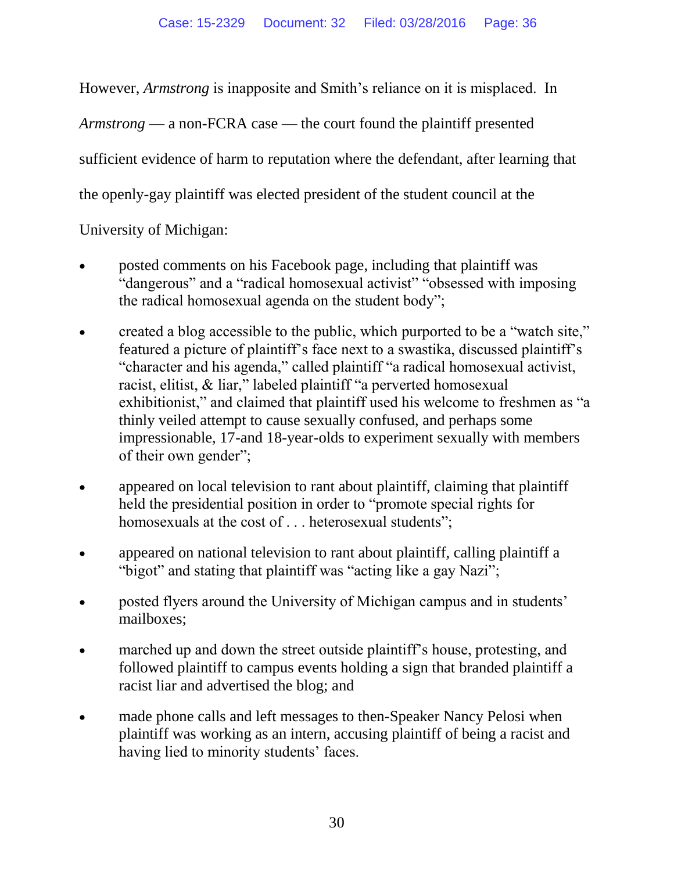<span id="page-35-0"></span>However, *Armstrong* is inapposite and Smith's reliance on it is misplaced. In

*Armstrong* — a non-FCRA case — the court found the plaintiff presented

sufficient evidence of harm to reputation where the defendant, after learning that

the openly-gay plaintiff was elected president of the student council at the

University of Michigan:

- posted comments on his Facebook page, including that plaintiff was "dangerous" and a "radical homosexual activist" "obsessed with imposing the radical homosexual agenda on the student body";
- created a blog accessible to the public, which purported to be a "watch site," featured a picture of plaintiff's face next to a swastika, discussed plaintiff's "character and his agenda," called plaintiff "a radical homosexual activist, racist, elitist, & liar," labeled plaintiff "a perverted homosexual exhibitionist," and claimed that plaintiff used his welcome to freshmen as "a thinly veiled attempt to cause sexually confused, and perhaps some impressionable, 17-and 18-year-olds to experiment sexually with members of their own gender";
- appeared on local television to rant about plaintiff, claiming that plaintiff held the presidential position in order to "promote special rights for homosexuals at the cost of . . . heterosexual students";
- appeared on national television to rant about plaintiff, calling plaintiff a "bigot" and stating that plaintiff was "acting like a gay Nazi";
- posted flyers around the University of Michigan campus and in students' mailboxes;
- marched up and down the street outside plaintiff's house, protesting, and followed plaintiff to campus events holding a sign that branded plaintiff a racist liar and advertised the blog; and
- made phone calls and left messages to then-Speaker Nancy Pelosi when plaintiff was working as an intern, accusing plaintiff of being a racist and having lied to minority students' faces.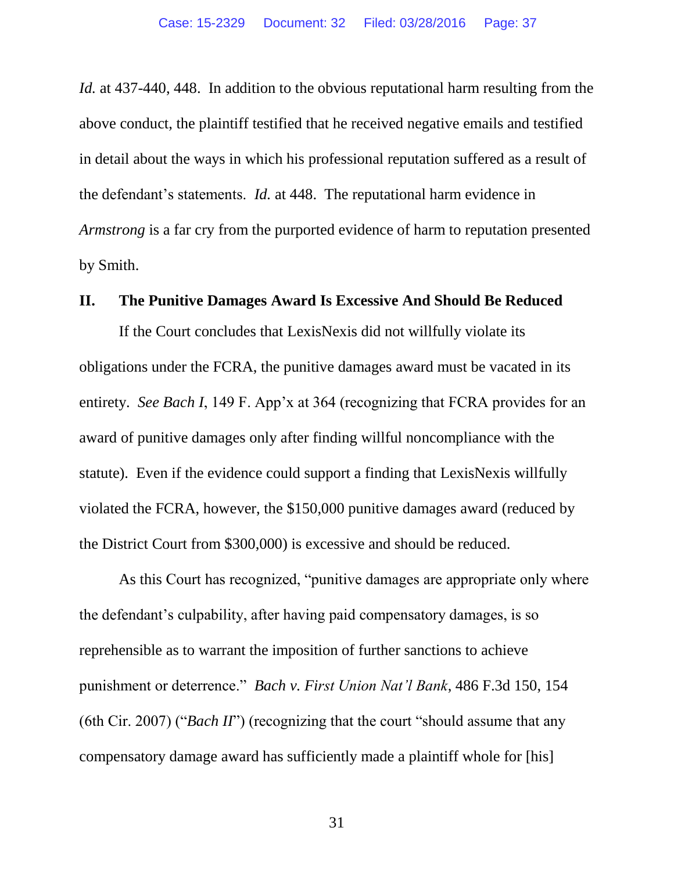<span id="page-36-0"></span>*Id.* at 437-440, 448. In addition to the obvious reputational harm resulting from the above conduct, the plaintiff testified that he received negative emails and testified in detail about the ways in which his professional reputation suffered as a result of the defendant's statements. *Id.* at 448. The reputational harm evidence in *Armstrong* is a far cry from the purported evidence of harm to reputation presented by Smith.

#### **II. The Punitive Damages Award Is Excessive And Should Be Reduced**

If the Court concludes that LexisNexis did not willfully violate its obligations under the FCRA, the punitive damages award must be vacated in its entirety. *See Bach I*, 149 F. App'x at 364 (recognizing that FCRA provides for an award of punitive damages only after finding willful noncompliance with the statute). Even if the evidence could support a finding that LexisNexis willfully violated the FCRA, however, the \$150,000 punitive damages award (reduced by the District Court from \$300,000) is excessive and should be reduced.

<span id="page-36-1"></span>As this Court has recognized, "punitive damages are appropriate only where the defendant's culpability, after having paid compensatory damages, is so reprehensible as to warrant the imposition of further sanctions to achieve punishment or deterrence." *Bach v. First Union Nat'l Bank*, 486 F.3d 150, 154 (6th Cir. 2007) ("*Bach II*") (recognizing that the court "should assume that any compensatory damage award has sufficiently made a plaintiff whole for [his]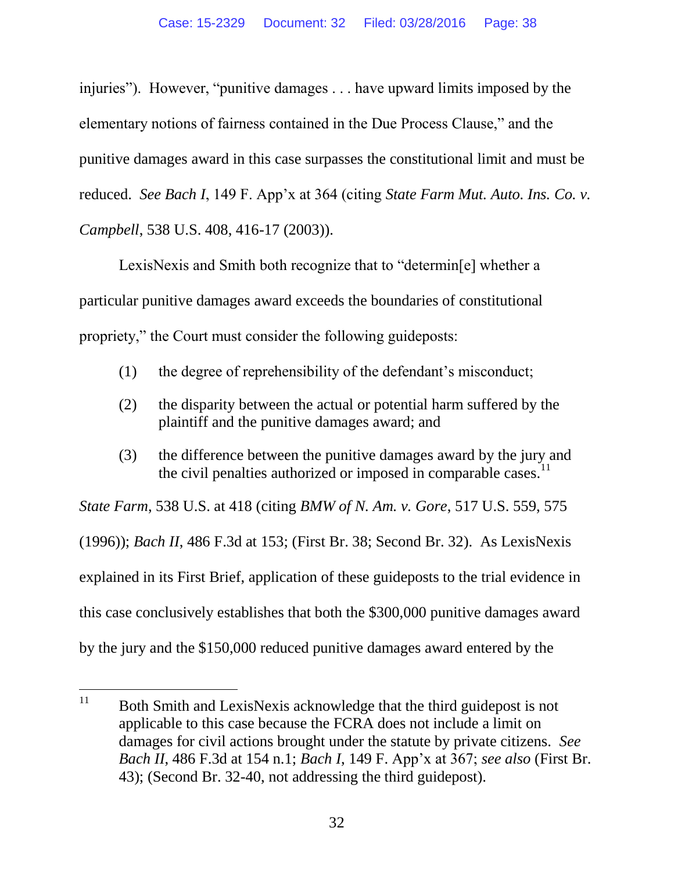injuries"). However, "punitive damages . . . have upward limits imposed by the elementary notions of fairness contained in the Due Process Clause," and the punitive damages award in this case surpasses the constitutional limit and must be reduced. *See Bach I*, 149 F. App'x at 364 (citing *State Farm Mut. Auto. Ins. Co. v. Campbell*, 538 U.S. 408, 416-17 (2003)).

LexisNexis and Smith both recognize that to "determin[e] whether a particular punitive damages award exceeds the boundaries of constitutional propriety," the Court must consider the following guideposts:

- (1) the degree of reprehensibility of the defendant's misconduct;
- (2) the disparity between the actual or potential harm suffered by the plaintiff and the punitive damages award; and
- (3) the difference between the punitive damages award by the jury and the civil penalties authorized or imposed in comparable cases. $<sup>11</sup>$ </sup>

<span id="page-37-0"></span>*State Farm*, 538 U.S. at 418 (citing *BMW of N. Am. v. Gore*, 517 U.S. 559, 575 (1996)); *Bach II*, 486 F.3d at 153; (First Br. 38; Second Br. 32). As LexisNexis explained in its First Brief, application of these guideposts to the trial evidence in this case conclusively establishes that both the \$300,000 punitive damages award by the jury and the \$150,000 reduced punitive damages award entered by the

<sup>11</sup> <sup>11</sup> Both Smith and LexisNexis acknowledge that the third guidepost is not applicable to this case because the FCRA does not include a limit on damages for civil actions brought under the statute by private citizens. *See Bach II*, 486 F.3d at 154 n.1; *Bach I*, 149 F. App'x at 367; *see also* (First Br. 43); (Second Br. 32-40, not addressing the third guidepost).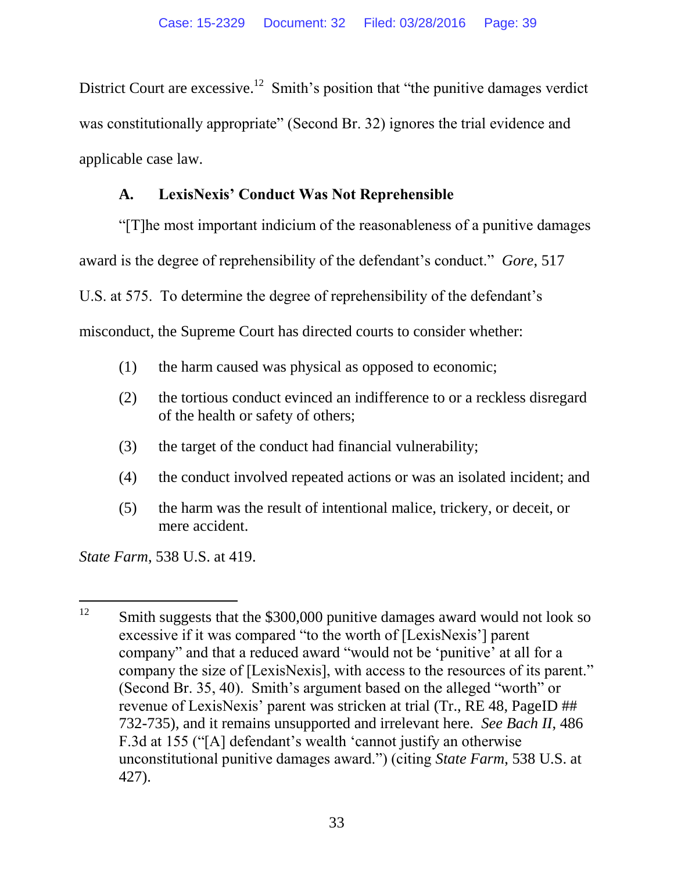District Court are excessive.<sup>12</sup> Smith's position that "the punitive damages verdict" was constitutionally appropriate" (Second Br. 32) ignores the trial evidence and applicable case law.

# <span id="page-38-0"></span>**A. LexisNexis' Conduct Was Not Reprehensible**

"[T]he most important indicium of the reasonableness of a punitive damages award is the degree of reprehensibility of the defendant's conduct." *Gore*, 517 U.S. at 575. To determine the degree of reprehensibility of the defendant's misconduct, the Supreme Court has directed courts to consider whether:

- (1) the harm caused was physical as opposed to economic;
- (2) the tortious conduct evinced an indifference to or a reckless disregard of the health or safety of others;
- (3) the target of the conduct had financial vulnerability;
- (4) the conduct involved repeated actions or was an isolated incident; and
- (5) the harm was the result of intentional malice, trickery, or deceit, or mere accident.

*State Farm*, 538 U.S. at 419.

l  $12$  Smith suggests that the \$300,000 punitive damages award would not look so excessive if it was compared "to the worth of [LexisNexis'] parent company" and that a reduced award "would not be 'punitive' at all for a company the size of [LexisNexis], with access to the resources of its parent." (Second Br. 35, 40). Smith's argument based on the alleged "worth" or revenue of LexisNexis' parent was stricken at trial (Tr., RE 48, PageID ## 732-735), and it remains unsupported and irrelevant here. *See Bach II*, 486 F.3d at 155 ("[A] defendant's wealth 'cannot justify an otherwise unconstitutional punitive damages award.") (citing *State Farm*, 538 U.S. at 427).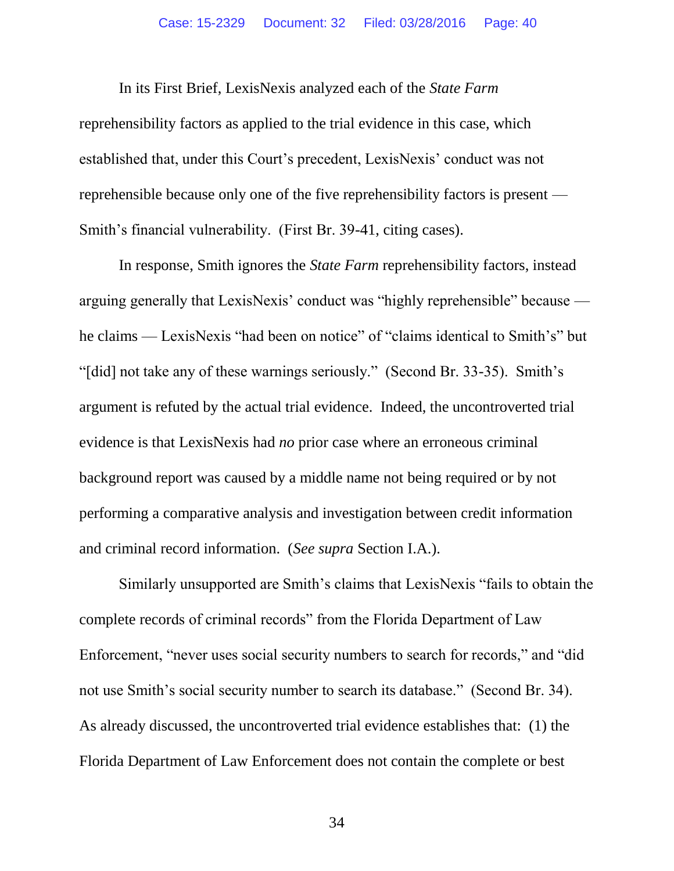In its First Brief, LexisNexis analyzed each of the *State Farm* reprehensibility factors as applied to the trial evidence in this case, which established that, under this Court's precedent, LexisNexis' conduct was not reprehensible because only one of the five reprehensibility factors is present — Smith's financial vulnerability. (First Br. 39-41, citing cases).

In response, Smith ignores the *State Farm* reprehensibility factors, instead arguing generally that LexisNexis' conduct was "highly reprehensible" because he claims — LexisNexis "had been on notice" of "claims identical to Smith's" but "[did] not take any of these warnings seriously." (Second Br. 33-35). Smith's argument is refuted by the actual trial evidence. Indeed, the uncontroverted trial evidence is that LexisNexis had *no* prior case where an erroneous criminal background report was caused by a middle name not being required or by not performing a comparative analysis and investigation between credit information and criminal record information. (*See supra* Section I.A.).

Similarly unsupported are Smith's claims that LexisNexis "fails to obtain the complete records of criminal records" from the Florida Department of Law Enforcement, "never uses social security numbers to search for records," and "did not use Smith's social security number to search its database." (Second Br. 34). As already discussed, the uncontroverted trial evidence establishes that: (1) the Florida Department of Law Enforcement does not contain the complete or best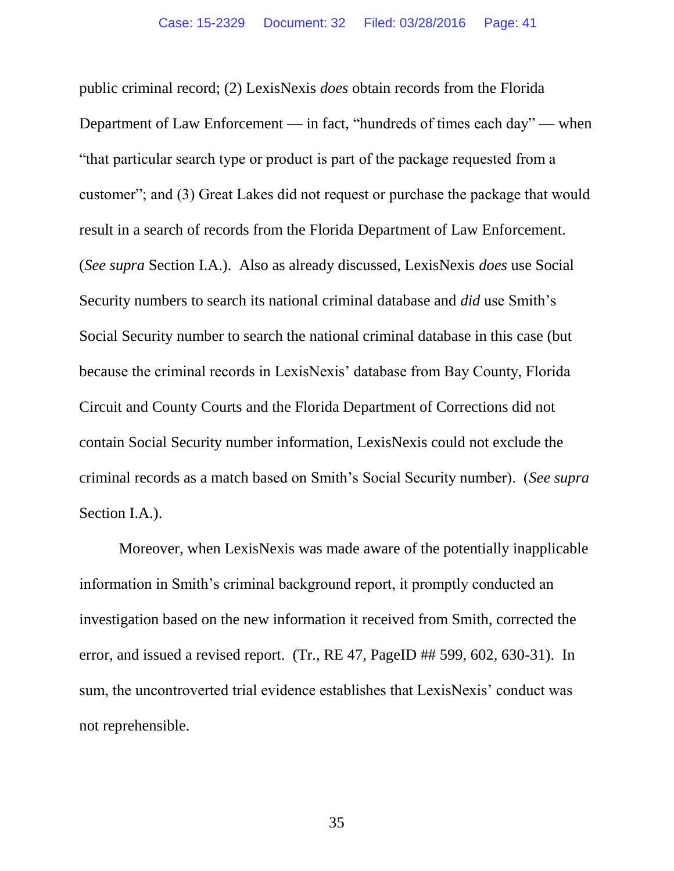public criminal record; (2) LexisNexis *does* obtain records from the Florida Department of Law Enforcement — in fact, "hundreds of times each day" — when "that particular search type or product is part of the package requested from a customer"; and (3) Great Lakes did not request or purchase the package that would result in a search of records from the Florida Department of Law Enforcement. (*See supra* Section I.A.). Also as already discussed, LexisNexis *does* use Social Security numbers to search its national criminal database and *did* use Smith's Social Security number to search the national criminal database in this case (but because the criminal records in LexisNexis' database from Bay County, Florida Circuit and County Courts and the Florida Department of Corrections did not contain Social Security number information, LexisNexis could not exclude the criminal records as a match based on Smith's Social Security number). (*See supra*  Section I.A.).

Moreover, when LexisNexis was made aware of the potentially inapplicable information in Smith's criminal background report, it promptly conducted an investigation based on the new information it received from Smith, corrected the error, and issued a revised report. (Tr., RE 47, PageID ## 599, 602, 630-31). In sum, the uncontroverted trial evidence establishes that LexisNexis' conduct was not reprehensible.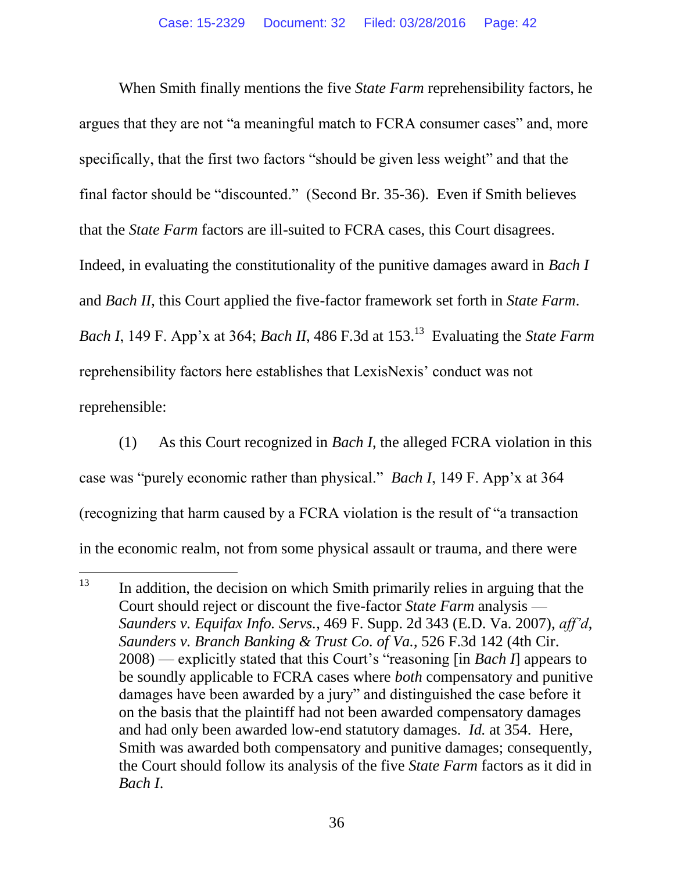When Smith finally mentions the five *State Farm* reprehensibility factors, he argues that they are not "a meaningful match to FCRA consumer cases" and, more specifically, that the first two factors "should be given less weight" and that the final factor should be "discounted." (Second Br. 35-36). Even if Smith believes that the *State Farm* factors are ill-suited to FCRA cases, this Court disagrees. Indeed, in evaluating the constitutionality of the punitive damages award in *Bach I*  and *Bach II*, this Court applied the five-factor framework set forth in *State Farm*. *Bach I*, 149 F. App'x at 364; *Bach II*, 486 F.3d at 153.<sup>13</sup> Evaluating the *State Farm* reprehensibility factors here establishes that LexisNexis' conduct was not reprehensible:

(1) As this Court recognized in *Bach I*, the alleged FCRA violation in this case was "purely economic rather than physical." *Bach I*, 149 F. App'x at 364 (recognizing that harm caused by a FCRA violation is the result of "a transaction in the economic realm, not from some physical assault or trauma, and there were

l

<span id="page-41-0"></span> $13$  In addition, the decision on which Smith primarily relies in arguing that the Court should reject or discount the five-factor *State Farm* analysis — *Saunders v. Equifax Info. Servs.*, 469 F. Supp. 2d 343 (E.D. Va. 2007), *aff'd*, *Saunders v. Branch Banking & Trust Co. of Va.*, 526 F.3d 142 (4th Cir. 2008) — explicitly stated that this Court's "reasoning [in *Bach I*] appears to be soundly applicable to FCRA cases where *both* compensatory and punitive damages have been awarded by a jury" and distinguished the case before it on the basis that the plaintiff had not been awarded compensatory damages and had only been awarded low-end statutory damages. *Id.* at 354. Here, Smith was awarded both compensatory and punitive damages; consequently, the Court should follow its analysis of the five *State Farm* factors as it did in *Bach I*.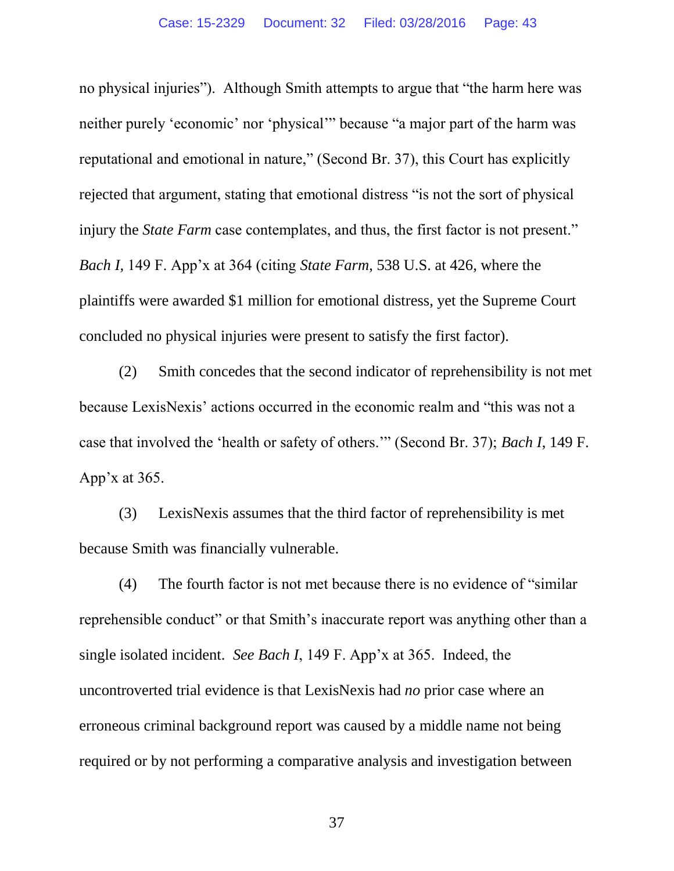no physical injuries"). Although Smith attempts to argue that "the harm here was neither purely 'economic' nor 'physical'" because "a major part of the harm was reputational and emotional in nature," (Second Br. 37), this Court has explicitly rejected that argument, stating that emotional distress "is not the sort of physical injury the *State Farm* case contemplates, and thus, the first factor is not present." *Bach I,* 149 F. App'x at 364 (citing *State Farm*, 538 U.S. at 426, where the plaintiffs were awarded \$1 million for emotional distress, yet the Supreme Court concluded no physical injuries were present to satisfy the first factor).

(2) Smith concedes that the second indicator of reprehensibility is not met because LexisNexis' actions occurred in the economic realm and "this was not a case that involved the 'health or safety of others.'" (Second Br. 37); *Bach I*, 149 F. App'x at 365.

(3) LexisNexis assumes that the third factor of reprehensibility is met because Smith was financially vulnerable.

(4) The fourth factor is not met because there is no evidence of "similar reprehensible conduct" or that Smith's inaccurate report was anything other than a single isolated incident. *See Bach I*, 149 F. App'x at 365. Indeed, the uncontroverted trial evidence is that LexisNexis had *no* prior case where an erroneous criminal background report was caused by a middle name not being required or by not performing a comparative analysis and investigation between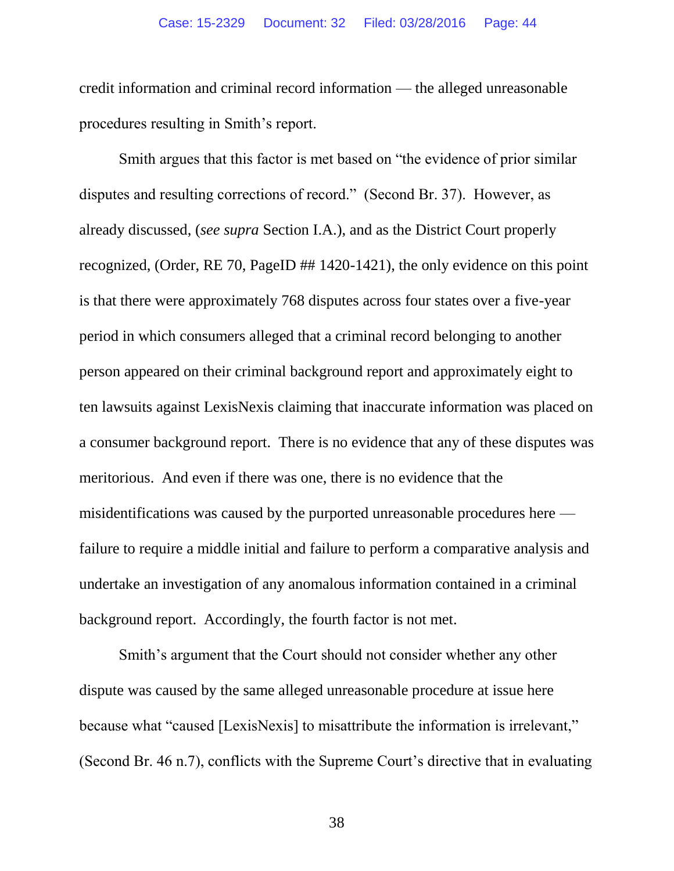credit information and criminal record information — the alleged unreasonable procedures resulting in Smith's report.

Smith argues that this factor is met based on "the evidence of prior similar disputes and resulting corrections of record." (Second Br. 37). However, as already discussed, (*see supra* Section I.A.), and as the District Court properly recognized, (Order, RE 70, PageID ## 1420-1421), the only evidence on this point is that there were approximately 768 disputes across four states over a five-year period in which consumers alleged that a criminal record belonging to another person appeared on their criminal background report and approximately eight to ten lawsuits against LexisNexis claiming that inaccurate information was placed on a consumer background report. There is no evidence that any of these disputes was meritorious. And even if there was one, there is no evidence that the misidentifications was caused by the purported unreasonable procedures here failure to require a middle initial and failure to perform a comparative analysis and undertake an investigation of any anomalous information contained in a criminal background report. Accordingly, the fourth factor is not met.

Smith's argument that the Court should not consider whether any other dispute was caused by the same alleged unreasonable procedure at issue here because what "caused [LexisNexis] to misattribute the information is irrelevant," (Second Br. 46 n.7), conflicts with the Supreme Court's directive that in evaluating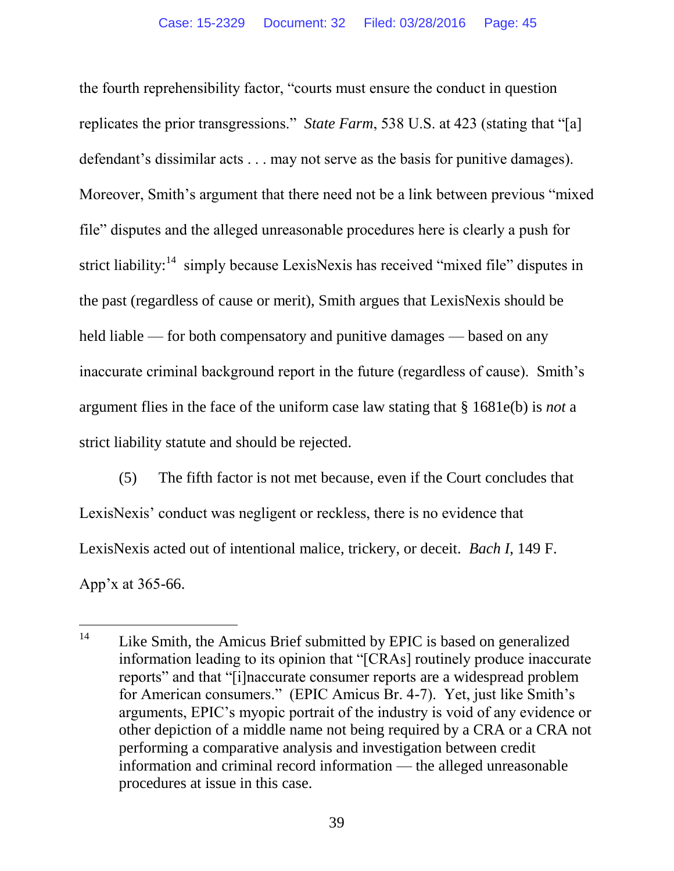the fourth reprehensibility factor, "courts must ensure the conduct in question replicates the prior transgressions." *State Farm*, 538 U.S. at 423 (stating that "[a] defendant's dissimilar acts . . . may not serve as the basis for punitive damages). Moreover, Smith's argument that there need not be a link between previous "mixed file" disputes and the alleged unreasonable procedures here is clearly a push for strict liability:<sup>14</sup> simply because LexisNexis has received "mixed file" disputes in the past (regardless of cause or merit), Smith argues that LexisNexis should be held liable — for both compensatory and punitive damages — based on any inaccurate criminal background report in the future (regardless of cause). Smith's argument flies in the face of the uniform case law stating that § 1681e(b) is *not* a strict liability statute and should be rejected.

(5) The fifth factor is not met because, even if the Court concludes that LexisNexis' conduct was negligent or reckless, there is no evidence that LexisNexis acted out of intentional malice, trickery, or deceit. *Bach I*, 149 F. App'x at 365-66.

 $14$ Like Smith, the Amicus Brief submitted by EPIC is based on generalized information leading to its opinion that "[CRAs] routinely produce inaccurate reports" and that "[i]naccurate consumer reports are a widespread problem for American consumers." (EPIC Amicus Br. 4-7). Yet, just like Smith's arguments, EPIC's myopic portrait of the industry is void of any evidence or other depiction of a middle name not being required by a CRA or a CRA not performing a comparative analysis and investigation between credit information and criminal record information — the alleged unreasonable procedures at issue in this case.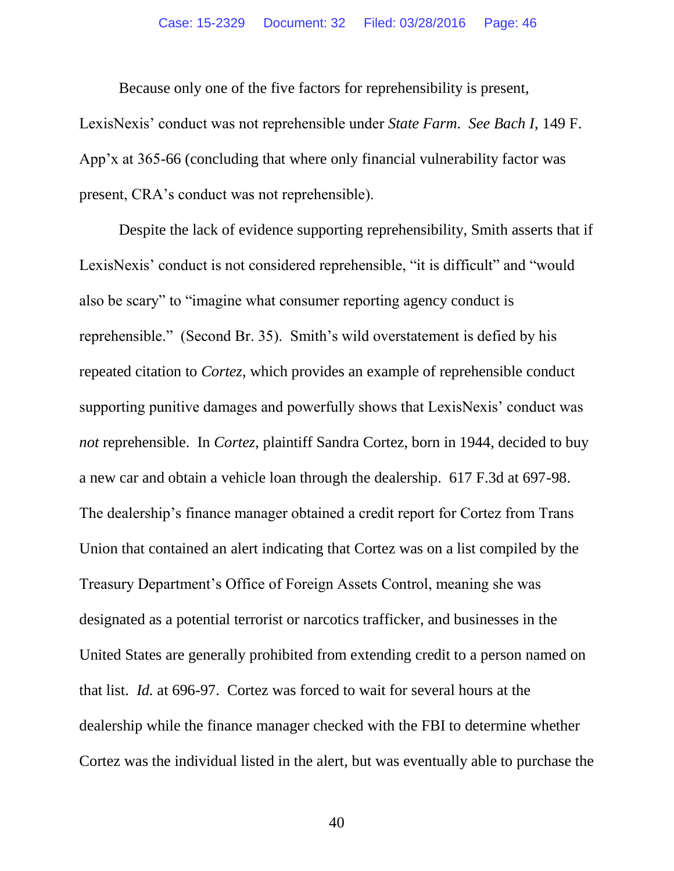Because only one of the five factors for reprehensibility is present, LexisNexis' conduct was not reprehensible under *State Farm*. *See Bach I*, 149 F. App'x at 365-66 (concluding that where only financial vulnerability factor was present, CRA's conduct was not reprehensible).

Despite the lack of evidence supporting reprehensibility, Smith asserts that if LexisNexis' conduct is not considered reprehensible, "it is difficult" and "would also be scary" to "imagine what consumer reporting agency conduct is reprehensible." (Second Br. 35). Smith's wild overstatement is defied by his repeated citation to *Cortez*, which provides an example of reprehensible conduct supporting punitive damages and powerfully shows that LexisNexis' conduct was *not* reprehensible. In *Cortez*, plaintiff Sandra Cortez, born in 1944, decided to buy a new car and obtain a vehicle loan through the dealership. 617 F.3d at 697-98. The dealership's finance manager obtained a credit report for Cortez from Trans Union that contained an alert indicating that Cortez was on a list compiled by the Treasury Department's Office of Foreign Assets Control, meaning she was designated as a potential terrorist or narcotics trafficker, and businesses in the United States are generally prohibited from extending credit to a person named on that list. *Id.* at 696-97. Cortez was forced to wait for several hours at the dealership while the finance manager checked with the FBI to determine whether Cortez was the individual listed in the alert, but was eventually able to purchase the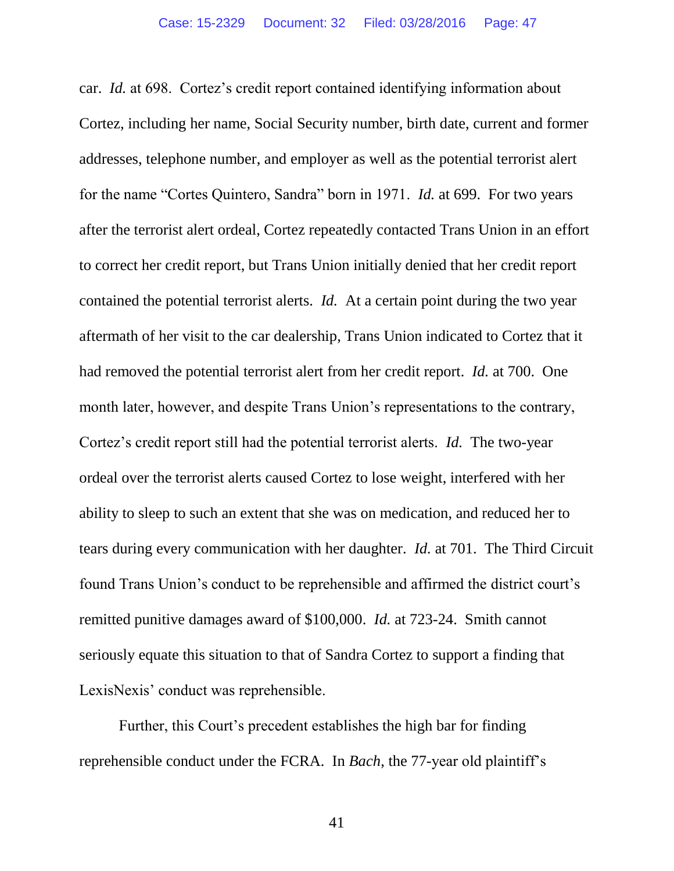car. *Id.* at 698. Cortez's credit report contained identifying information about Cortez, including her name, Social Security number, birth date, current and former addresses, telephone number, and employer as well as the potential terrorist alert for the name "Cortes Quintero, Sandra" born in 1971. *Id.* at 699. For two years after the terrorist alert ordeal, Cortez repeatedly contacted Trans Union in an effort to correct her credit report, but Trans Union initially denied that her credit report contained the potential terrorist alerts. *Id.* At a certain point during the two year aftermath of her visit to the car dealership, Trans Union indicated to Cortez that it had removed the potential terrorist alert from her credit report. *Id.* at 700. One month later, however, and despite Trans Union's representations to the contrary, Cortez's credit report still had the potential terrorist alerts. *Id.* The two-year ordeal over the terrorist alerts caused Cortez to lose weight, interfered with her ability to sleep to such an extent that she was on medication, and reduced her to tears during every communication with her daughter. *Id.* at 701. The Third Circuit found Trans Union's conduct to be reprehensible and affirmed the district court's remitted punitive damages award of \$100,000. *Id.* at 723-24. Smith cannot seriously equate this situation to that of Sandra Cortez to support a finding that LexisNexis' conduct was reprehensible.

Further, this Court's precedent establishes the high bar for finding reprehensible conduct under the FCRA. In *Bach*, the 77-year old plaintiff's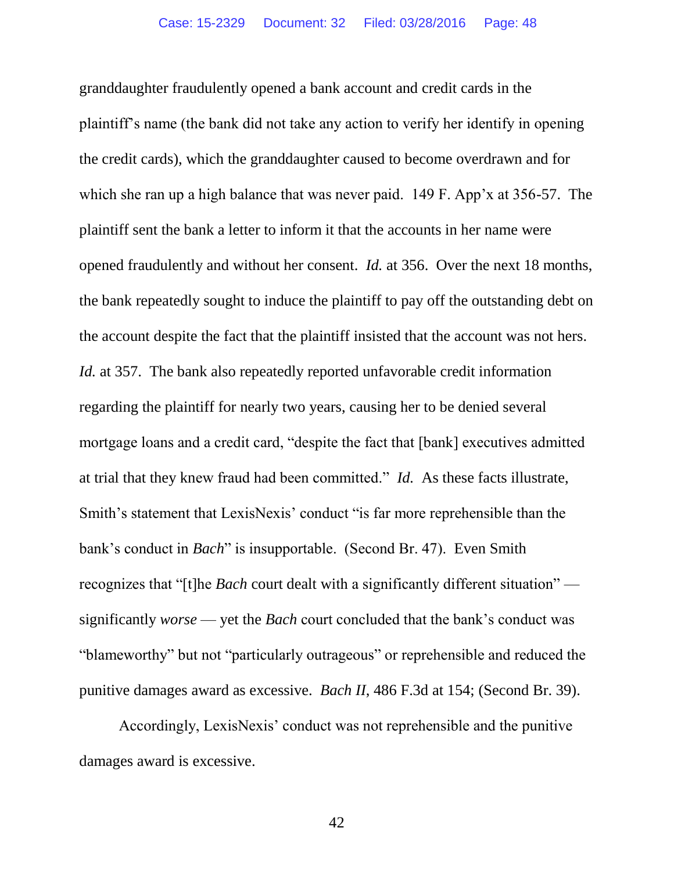granddaughter fraudulently opened a bank account and credit cards in the plaintiff's name (the bank did not take any action to verify her identify in opening the credit cards), which the granddaughter caused to become overdrawn and for which she ran up a high balance that was never paid. 149 F. App'x at 356-57. The plaintiff sent the bank a letter to inform it that the accounts in her name were opened fraudulently and without her consent. *Id.* at 356. Over the next 18 months, the bank repeatedly sought to induce the plaintiff to pay off the outstanding debt on the account despite the fact that the plaintiff insisted that the account was not hers. *Id.* at 357. The bank also repeatedly reported unfavorable credit information regarding the plaintiff for nearly two years, causing her to be denied several mortgage loans and a credit card, "despite the fact that [bank] executives admitted at trial that they knew fraud had been committed." *Id.* As these facts illustrate, Smith's statement that LexisNexis' conduct "is far more reprehensible than the bank's conduct in *Bach*" is insupportable. (Second Br. 47). Even Smith recognizes that "[t]he *Bach* court dealt with a significantly different situation" significantly *worse* — yet the *Bach* court concluded that the bank's conduct was "blameworthy" but not "particularly outrageous" or reprehensible and reduced the punitive damages award as excessive. *Bach II*, 486 F.3d at 154; (Second Br. 39).

Accordingly, LexisNexis' conduct was not reprehensible and the punitive damages award is excessive.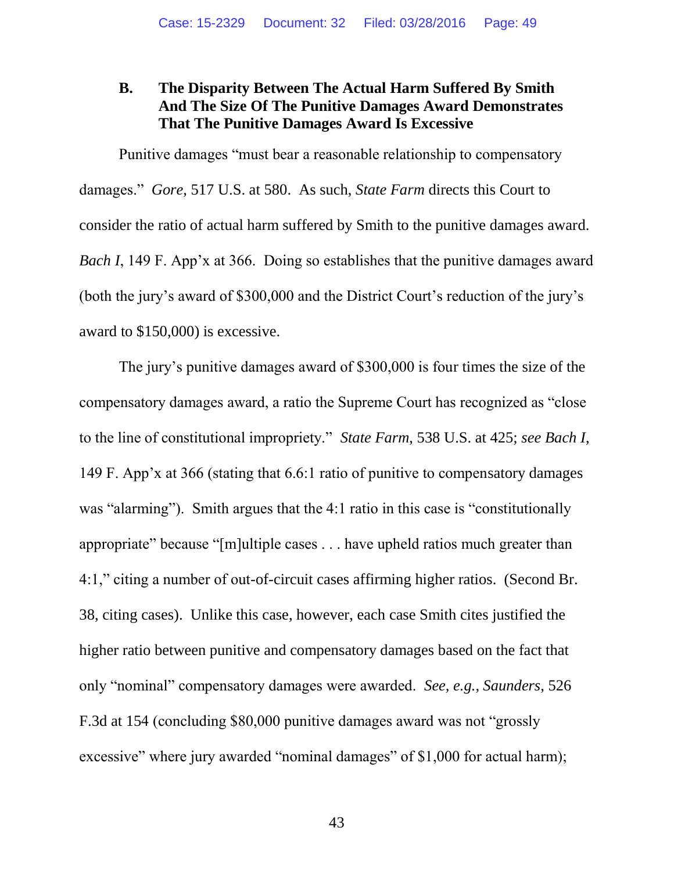## **B. The Disparity Between The Actual Harm Suffered By Smith And The Size Of The Punitive Damages Award Demonstrates That The Punitive Damages Award Is Excessive**

<span id="page-48-0"></span>Punitive damages "must bear a reasonable relationship to compensatory damages." *Gore*, 517 U.S. at 580. As such, *State Farm* directs this Court to consider the ratio of actual harm suffered by Smith to the punitive damages award. *Bach I*, 149 F. App'x at 366. Doing so establishes that the punitive damages award (both the jury's award of \$300,000 and the District Court's reduction of the jury's award to \$150,000) is excessive.

<span id="page-48-1"></span>The jury's punitive damages award of \$300,000 is four times the size of the compensatory damages award, a ratio the Supreme Court has recognized as "close to the line of constitutional impropriety." *State Farm*, 538 U.S. at 425; *see Bach I*, 149 F. App'x at 366 (stating that 6.6:1 ratio of punitive to compensatory damages was "alarming"). Smith argues that the 4:1 ratio in this case is "constitutionally" appropriate" because "[m]ultiple cases . . . have upheld ratios much greater than 4:1," citing a number of out-of-circuit cases affirming higher ratios. (Second Br. 38, citing cases). Unlike this case, however, each case Smith cites justified the higher ratio between punitive and compensatory damages based on the fact that only "nominal" compensatory damages were awarded. *See, e.g.*, *Saunders*, 526 F.3d at 154 (concluding \$80,000 punitive damages award was not "grossly excessive" where jury awarded "nominal damages" of \$1,000 for actual harm);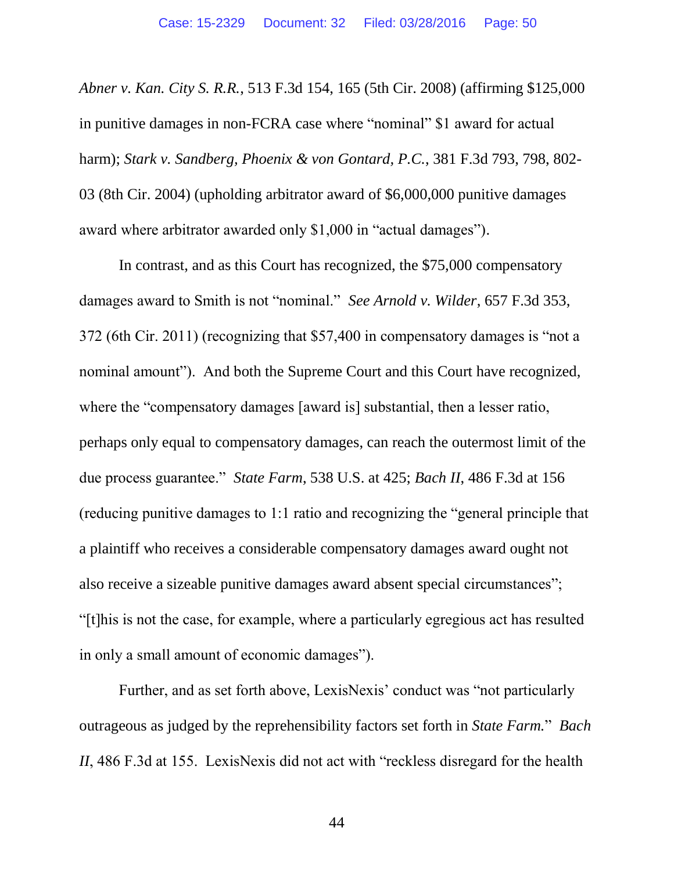<span id="page-49-2"></span><span id="page-49-0"></span>*Abner v. Kan. City S. R.R.*, 513 F.3d 154, 165 (5th Cir. 2008) (affirming \$125,000 in punitive damages in non-FCRA case where "nominal" \$1 award for actual harm); *Stark v. Sandberg, Phoenix & von Gontard, P.C.*, 381 F.3d 793, 798, 802- 03 (8th Cir. 2004) (upholding arbitrator award of \$6,000,000 punitive damages award where arbitrator awarded only \$1,000 in "actual damages").

<span id="page-49-1"></span>In contrast, and as this Court has recognized, the \$75,000 compensatory damages award to Smith is not "nominal." *See Arnold v. Wilder*, 657 F.3d 353, 372 (6th Cir. 2011) (recognizing that \$57,400 in compensatory damages is "not a nominal amount"). And both the Supreme Court and this Court have recognized, where the "compensatory damages [award is] substantial, then a lesser ratio, perhaps only equal to compensatory damages, can reach the outermost limit of the due process guarantee." *State Farm*, 538 U.S. at 425; *Bach II*, 486 F.3d at 156 (reducing punitive damages to 1:1 ratio and recognizing the "general principle that a plaintiff who receives a considerable compensatory damages award ought not also receive a sizeable punitive damages award absent special circumstances"; "[t]his is not the case, for example, where a particularly egregious act has resulted in only a small amount of economic damages").

Further, and as set forth above, LexisNexis' conduct was "not particularly outrageous as judged by the reprehensibility factors set forth in *State Farm.*" *Bach II*, 486 F.3d at 155. LexisNexis did not act with "reckless disregard for the health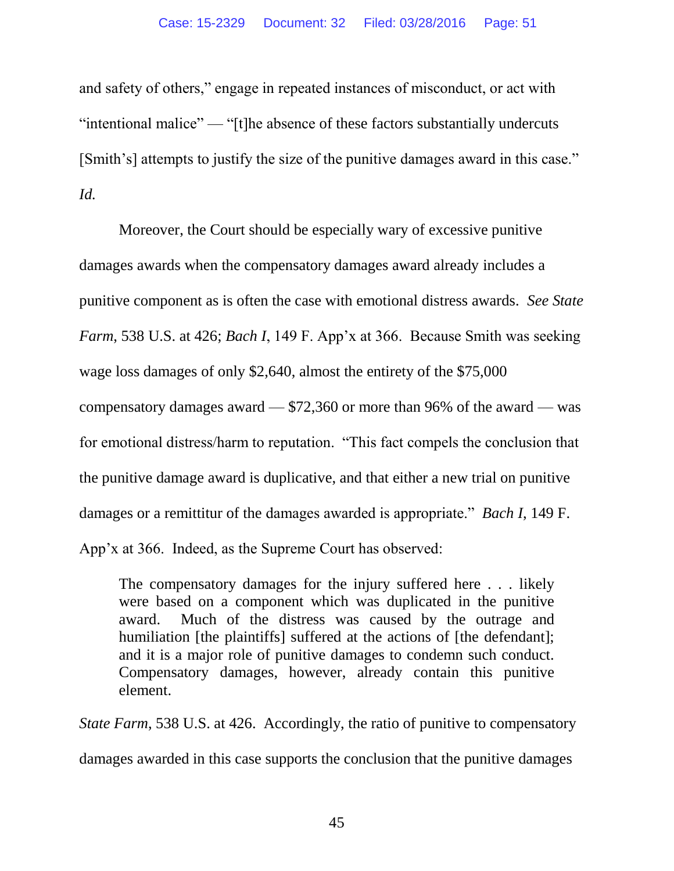and safety of others," engage in repeated instances of misconduct, or act with "intentional malice" — "[t]he absence of these factors substantially undercuts [Smith's] attempts to justify the size of the punitive damages award in this case." *Id.*

Moreover, the Court should be especially wary of excessive punitive damages awards when the compensatory damages award already includes a punitive component as is often the case with emotional distress awards. *See State Farm*, 538 U.S. at 426; *Bach I*, 149 F. App'x at 366. Because Smith was seeking wage loss damages of only \$2,640, almost the entirety of the \$75,000 compensatory damages award — \$72,360 or more than 96% of the award — was for emotional distress/harm to reputation. "This fact compels the conclusion that the punitive damage award is duplicative, and that either a new trial on punitive damages or a remittitur of the damages awarded is appropriate." *Bach I*, 149 F. App'x at 366. Indeed, as the Supreme Court has observed:

The compensatory damages for the injury suffered here . . . likely were based on a component which was duplicated in the punitive award. Much of the distress was caused by the outrage and humiliation [the plaintiffs] suffered at the actions of [the defendant]; and it is a major role of punitive damages to condemn such conduct. Compensatory damages, however, already contain this punitive element.

*State Farm*, 538 U.S. at 426. Accordingly, the ratio of punitive to compensatory damages awarded in this case supports the conclusion that the punitive damages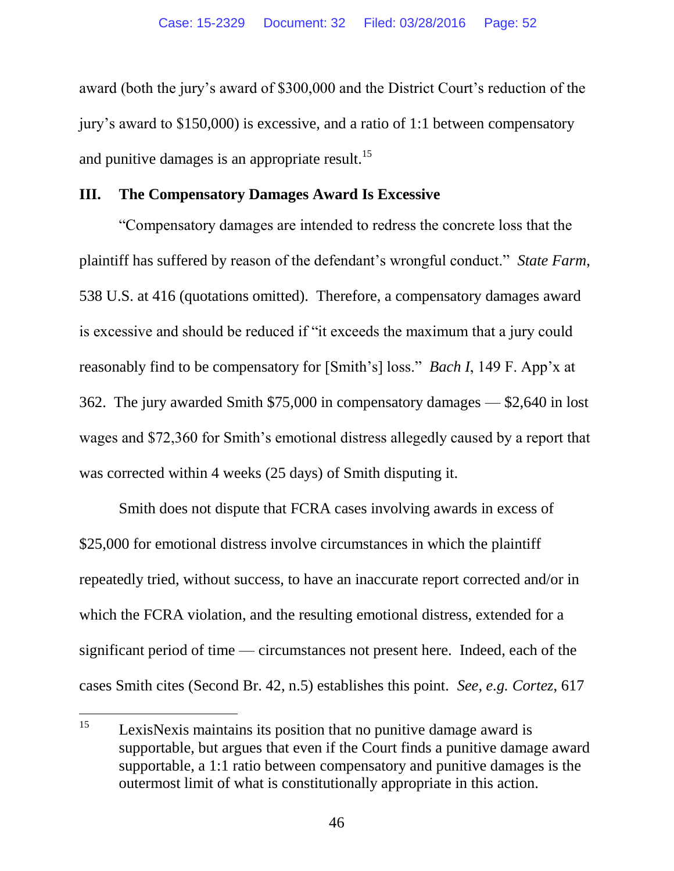award (both the jury's award of \$300,000 and the District Court's reduction of the jury's award to \$150,000) is excessive, and a ratio of 1:1 between compensatory and punitive damages is an appropriate result.<sup>15</sup>

#### **III. The Compensatory Damages Award Is Excessive**

"Compensatory damages are intended to redress the concrete loss that the plaintiff has suffered by reason of the defendant's wrongful conduct." *State Farm*, 538 U.S. at 416 (quotations omitted). Therefore, a compensatory damages award is excessive and should be reduced if "it exceeds the maximum that a jury could reasonably find to be compensatory for [Smith's] loss." *Bach I*, 149 F. App'x at 362. The jury awarded Smith \$75,000 in compensatory damages — \$2,640 in lost wages and \$72,360 for Smith's emotional distress allegedly caused by a report that was corrected within 4 weeks (25 days) of Smith disputing it.

Smith does not dispute that FCRA cases involving awards in excess of \$25,000 for emotional distress involve circumstances in which the plaintiff repeatedly tried, without success, to have an inaccurate report corrected and/or in which the FCRA violation, and the resulting emotional distress, extended for a significant period of time — circumstances not present here. Indeed, each of the cases Smith cites (Second Br. 42, n.5) establishes this point. *See, e.g. Cortez*, 617

<sup>15</sup> LexisNexis maintains its position that no punitive damage award is supportable, but argues that even if the Court finds a punitive damage award supportable, a 1:1 ratio between compensatory and punitive damages is the outermost limit of what is constitutionally appropriate in this action.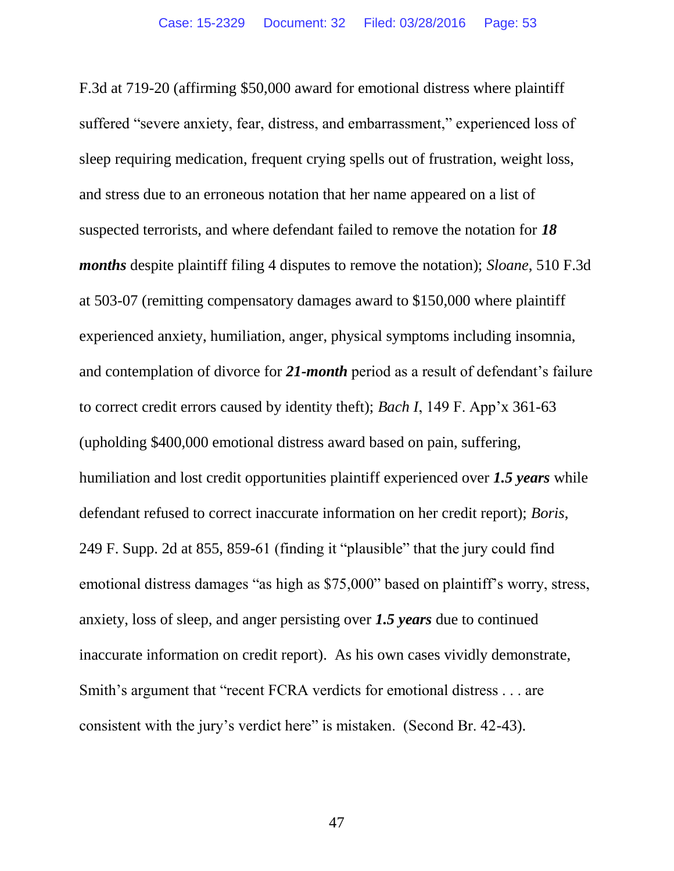<span id="page-52-1"></span><span id="page-52-0"></span>F.3d at 719-20 (affirming \$50,000 award for emotional distress where plaintiff suffered "severe anxiety, fear, distress, and embarrassment," experienced loss of sleep requiring medication, frequent crying spells out of frustration, weight loss, and stress due to an erroneous notation that her name appeared on a list of suspected terrorists, and where defendant failed to remove the notation for *18 months* despite plaintiff filing 4 disputes to remove the notation); *Sloane*, 510 F.3d at 503-07 (remitting compensatory damages award to \$150,000 where plaintiff experienced anxiety, humiliation, anger, physical symptoms including insomnia, and contemplation of divorce for *21-month* period as a result of defendant's failure to correct credit errors caused by identity theft); *Bach I*, 149 F. App'x 361-63 (upholding \$400,000 emotional distress award based on pain, suffering, humiliation and lost credit opportunities plaintiff experienced over *1.5 years* while defendant refused to correct inaccurate information on her credit report); *Boris*, 249 F. Supp. 2d at 855, 859-61 (finding it "plausible" that the jury could find emotional distress damages "as high as \$75,000" based on plaintiff's worry, stress, anxiety, loss of sleep, and anger persisting over *1.5 years* due to continued inaccurate information on credit report). As his own cases vividly demonstrate, Smith's argument that "recent FCRA verdicts for emotional distress . . . are consistent with the jury's verdict here" is mistaken. (Second Br. 42-43).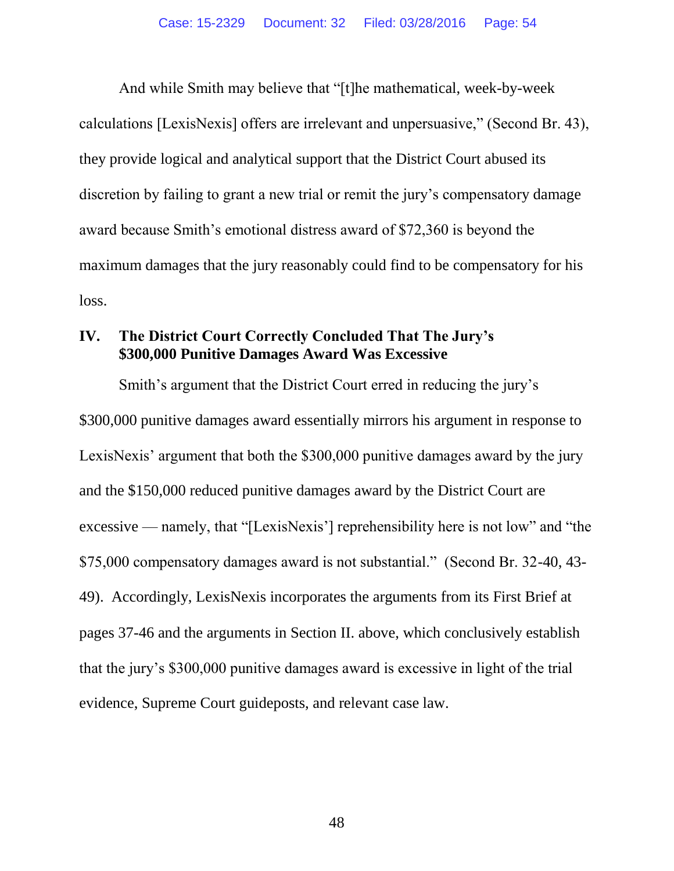And while Smith may believe that "[t]he mathematical, week-by-week calculations [LexisNexis] offers are irrelevant and unpersuasive," (Second Br. 43), they provide logical and analytical support that the District Court abused its discretion by failing to grant a new trial or remit the jury's compensatory damage award because Smith's emotional distress award of \$72,360 is beyond the maximum damages that the jury reasonably could find to be compensatory for his loss.

#### **IV. The District Court Correctly Concluded That The Jury's \$300,000 Punitive Damages Award Was Excessive**

Smith's argument that the District Court erred in reducing the jury's \$300,000 punitive damages award essentially mirrors his argument in response to LexisNexis' argument that both the \$300,000 punitive damages award by the jury and the \$150,000 reduced punitive damages award by the District Court are excessive — namely, that "[LexisNexis'] reprehensibility here is not low" and "the \$75,000 compensatory damages award is not substantial." (Second Br. 32-40, 43- 49). Accordingly, LexisNexis incorporates the arguments from its First Brief at pages 37-46 and the arguments in Section II. above, which conclusively establish that the jury's \$300,000 punitive damages award is excessive in light of the trial evidence, Supreme Court guideposts, and relevant case law.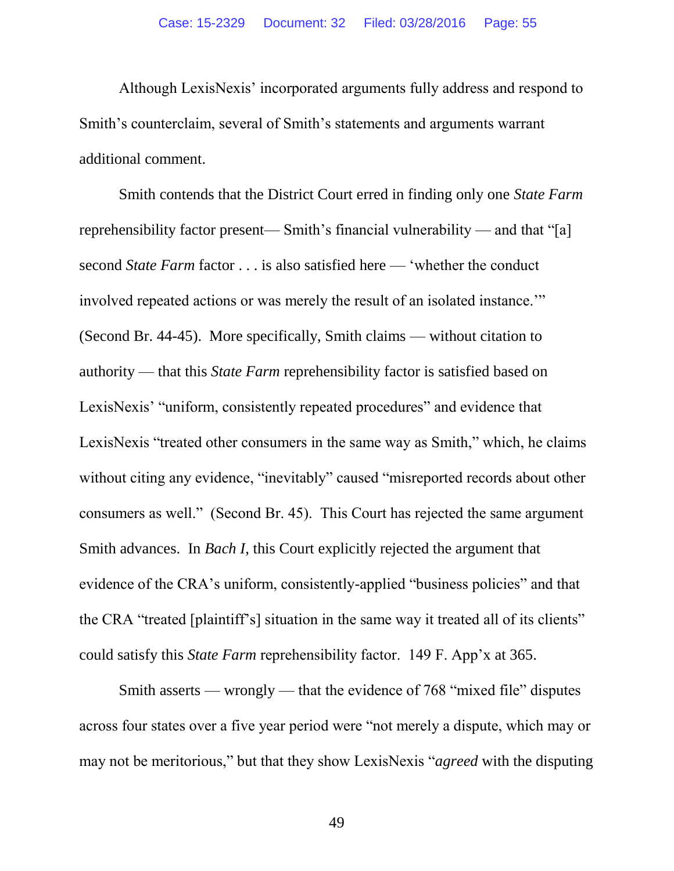Although LexisNexis' incorporated arguments fully address and respond to Smith's counterclaim, several of Smith's statements and arguments warrant additional comment.

Smith contends that the District Court erred in finding only one *State Farm* reprehensibility factor present— Smith's financial vulnerability — and that "[a] second *State Farm* factor . . . is also satisfied here — 'whether the conduct involved repeated actions or was merely the result of an isolated instance.'" (Second Br. 44-45). More specifically, Smith claims — without citation to authority — that this *State Farm* reprehensibility factor is satisfied based on LexisNexis' "uniform, consistently repeated procedures" and evidence that LexisNexis "treated other consumers in the same way as Smith," which, he claims without citing any evidence, "inevitably" caused "misreported records about other consumers as well." (Second Br. 45). This Court has rejected the same argument Smith advances. In *Bach I*, this Court explicitly rejected the argument that evidence of the CRA's uniform, consistently-applied "business policies" and that the CRA "treated [plaintiff's] situation in the same way it treated all of its clients" could satisfy this *State Farm* reprehensibility factor. 149 F. App'x at 365.

Smith asserts — wrongly — that the evidence of 768 "mixed file" disputes across four states over a five year period were "not merely a dispute, which may or may not be meritorious," but that they show LexisNexis "*agreed* with the disputing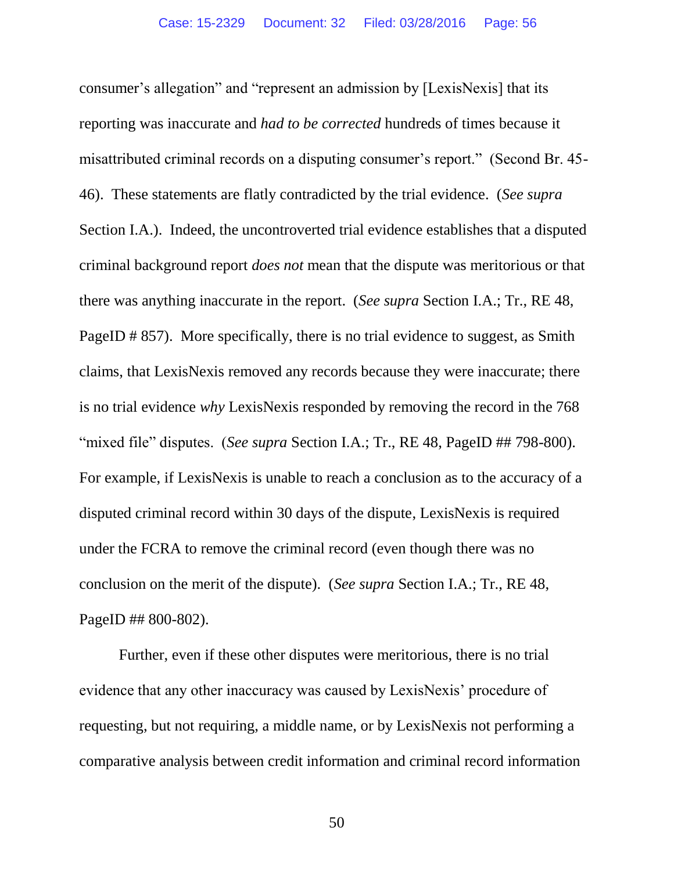consumer's allegation" and "represent an admission by [LexisNexis] that its reporting was inaccurate and *had to be corrected* hundreds of times because it misattributed criminal records on a disputing consumer's report." (Second Br. 45- 46). These statements are flatly contradicted by the trial evidence. (*See supra*  Section I.A.). Indeed, the uncontroverted trial evidence establishes that a disputed criminal background report *does not* mean that the dispute was meritorious or that there was anything inaccurate in the report. (*See supra* Section I.A.; Tr., RE 48, PageID # 857). More specifically, there is no trial evidence to suggest, as Smith claims, that LexisNexis removed any records because they were inaccurate; there is no trial evidence *why* LexisNexis responded by removing the record in the 768 "mixed file" disputes. (*See supra* Section I.A.; Tr., RE 48, PageID ## 798-800). For example, if LexisNexis is unable to reach a conclusion as to the accuracy of a disputed criminal record within 30 days of the dispute, LexisNexis is required under the FCRA to remove the criminal record (even though there was no conclusion on the merit of the dispute). (*See supra* Section I.A.; Tr., RE 48, PageID ## 800-802).

Further, even if these other disputes were meritorious, there is no trial evidence that any other inaccuracy was caused by LexisNexis' procedure of requesting, but not requiring, a middle name, or by LexisNexis not performing a comparative analysis between credit information and criminal record information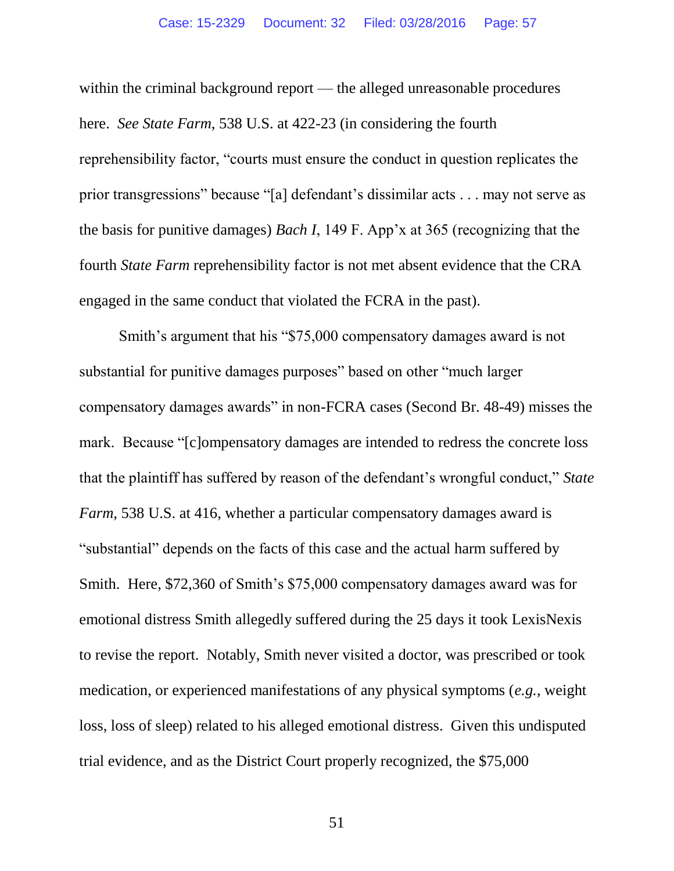within the criminal background report — the alleged unreasonable procedures here. *See State Farm*, 538 U.S. at 422-23 (in considering the fourth reprehensibility factor, "courts must ensure the conduct in question replicates the prior transgressions" because "[a] defendant's dissimilar acts . . . may not serve as the basis for punitive damages) *Bach I*, 149 F. App'x at 365 (recognizing that the fourth *State Farm* reprehensibility factor is not met absent evidence that the CRA engaged in the same conduct that violated the FCRA in the past).

Smith's argument that his "\$75,000 compensatory damages award is not substantial for punitive damages purposes" based on other "much larger compensatory damages awards" in non-FCRA cases (Second Br. 48-49) misses the mark. Because "[c]ompensatory damages are intended to redress the concrete loss that the plaintiff has suffered by reason of the defendant's wrongful conduct," *State Farm*, 538 U.S. at 416, whether a particular compensatory damages award is "substantial" depends on the facts of this case and the actual harm suffered by Smith. Here, \$72,360 of Smith's \$75,000 compensatory damages award was for emotional distress Smith allegedly suffered during the 25 days it took LexisNexis to revise the report. Notably, Smith never visited a doctor, was prescribed or took medication, or experienced manifestations of any physical symptoms (*e.g.*, weight loss, loss of sleep) related to his alleged emotional distress. Given this undisputed trial evidence, and as the District Court properly recognized, the \$75,000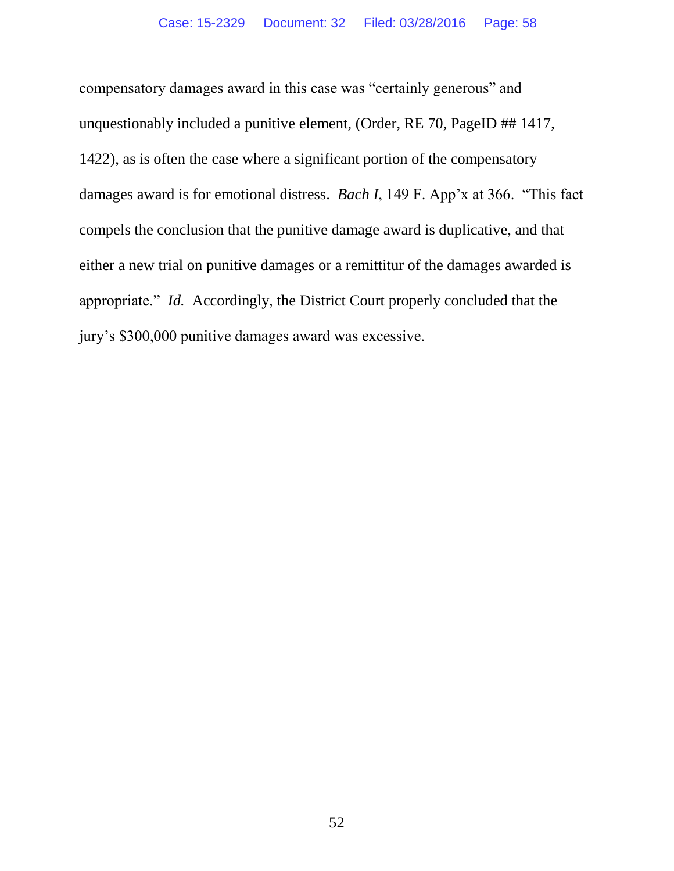compensatory damages award in this case was "certainly generous" and unquestionably included a punitive element, (Order, RE 70, PageID ## 1417, 1422), as is often the case where a significant portion of the compensatory damages award is for emotional distress. *Bach I*, 149 F. App'x at 366. "This fact compels the conclusion that the punitive damage award is duplicative, and that either a new trial on punitive damages or a remittitur of the damages awarded is appropriate." *Id.* Accordingly, the District Court properly concluded that the jury's \$300,000 punitive damages award was excessive.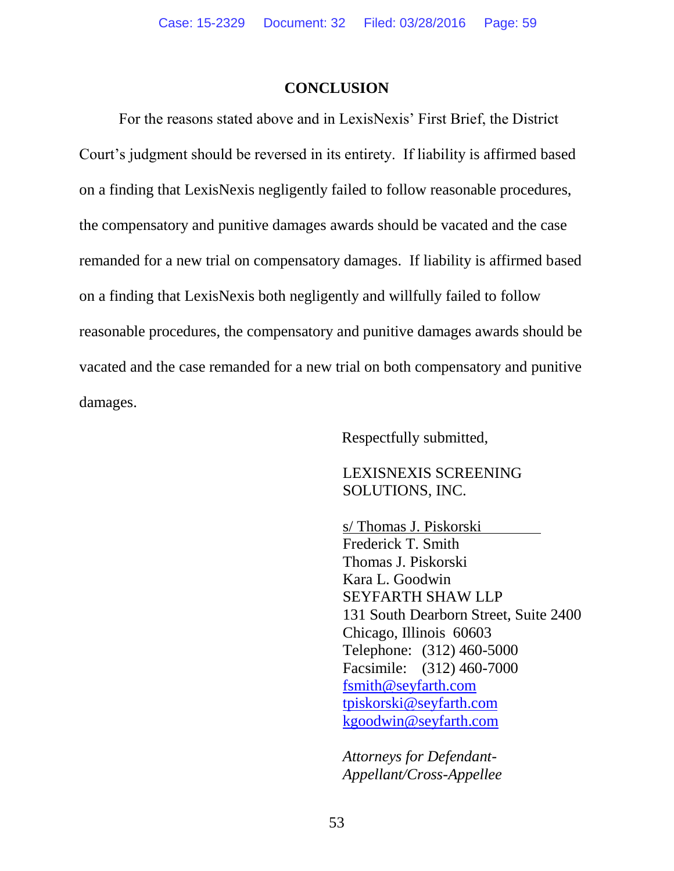#### **CONCLUSION**

For the reasons stated above and in LexisNexis' First Brief, the District Court's judgment should be reversed in its entirety. If liability is affirmed based on a finding that LexisNexis negligently failed to follow reasonable procedures, the compensatory and punitive damages awards should be vacated and the case remanded for a new trial on compensatory damages. If liability is affirmed based on a finding that LexisNexis both negligently and willfully failed to follow reasonable procedures, the compensatory and punitive damages awards should be vacated and the case remanded for a new trial on both compensatory and punitive damages.

Respectfully submitted,

### LEXISNEXIS SCREENING SOLUTIONS, INC.

s/ Thomas J. Piskorski Frederick T. Smith Thomas J. Piskorski Kara L. Goodwin SEYFARTH SHAW LLP 131 South Dearborn Street, Suite 2400 Chicago, Illinois 60603 Telephone: (312) 460-5000 Facsimile: (312) 460-7000 [fsmith@seyfarth.com](mailto:fsmith@seyfarth.com) [tpiskorski@seyfarth.com](mailto:tpiskorski@seyfarth.com) [kgoodwin@seyfarth.com](mailto:kgoodwin@seyfarth.com)

*Attorneys for Defendant-Appellant/Cross-Appellee*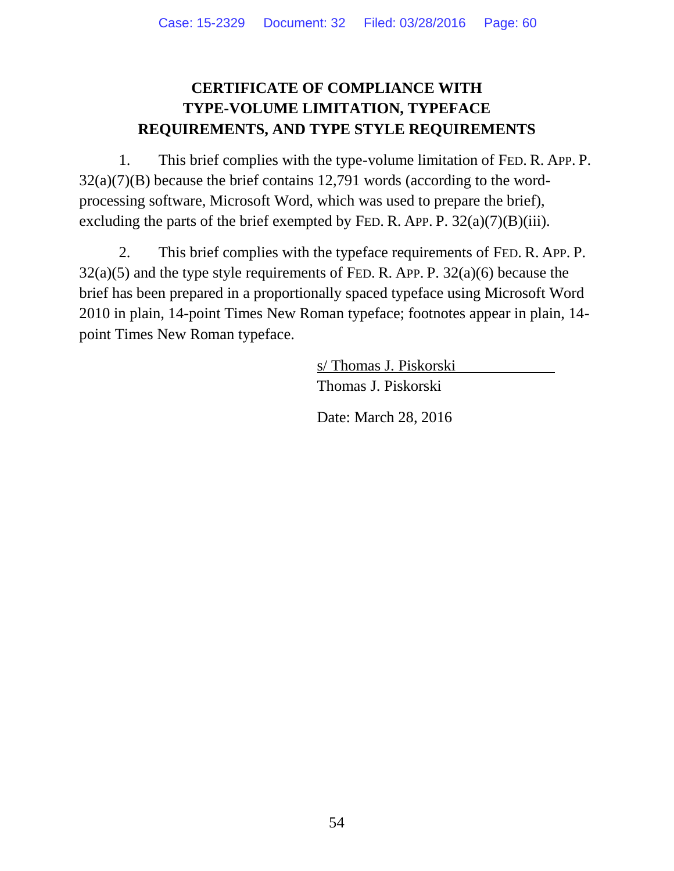# **CERTIFICATE OF COMPLIANCE WITH TYPE-VOLUME LIMITATION, TYPEFACE REQUIREMENTS, AND TYPE STYLE REQUIREMENTS**

1. This brief complies with the type-volume limitation of FED. R. APP. P. 32(a)(7)(B) because the brief contains 12,791 words (according to the wordprocessing software, Microsoft Word, which was used to prepare the brief), excluding the parts of the brief exempted by FED. R. APP. P.  $32(a)(7)(B)(iii)$ .

2. This brief complies with the typeface requirements of FED. R. APP. P.  $32(a)(5)$  and the type style requirements of FED. R. APP. P.  $32(a)(6)$  because the brief has been prepared in a proportionally spaced typeface using Microsoft Word 2010 in plain, 14-point Times New Roman typeface; footnotes appear in plain, 14 point Times New Roman typeface.

> s/ Thomas J. Piskorski Thomas J. Piskorski

Date: March 28, 2016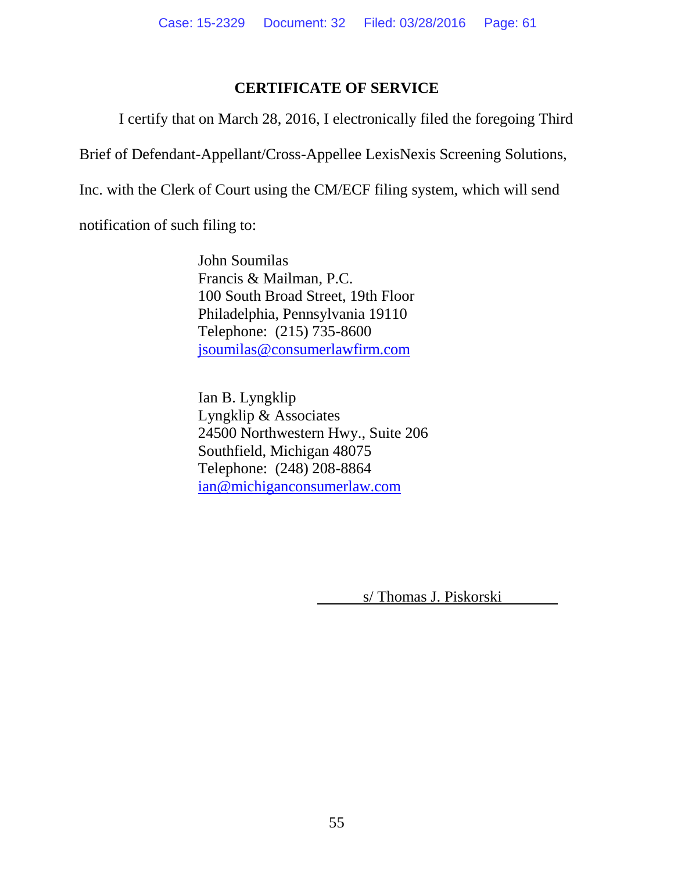# **CERTIFICATE OF SERVICE**

I certify that on March 28, 2016, I electronically filed the foregoing Third

Brief of Defendant-Appellant/Cross-Appellee LexisNexis Screening Solutions,

Inc. with the Clerk of Court using the CM/ECF filing system, which will send

notification of such filing to:

John Soumilas Francis & Mailman, P.C. 100 South Broad Street, 19th Floor Philadelphia, Pennsylvania 19110 Telephone: (215) 735-8600 [jsoumilas@consumerlawfirm.com](mailto:jsoumilas@consumerlawfirm.com)

Ian B. Lyngklip Lyngklip & Associates 24500 Northwestern Hwy., Suite 206 Southfield, Michigan 48075 Telephone: (248) 208-8864 [ian@michiganconsumerlaw.com](mailto:ian@michiganconsumerlaw.com)

s/ Thomas J. Piskorski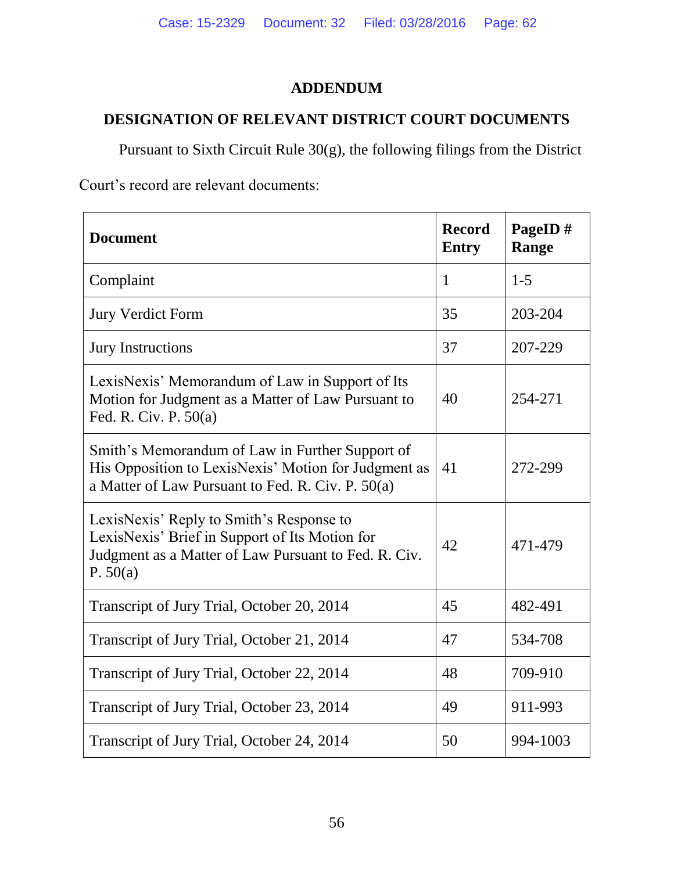# **ADDENDUM**

# **DESIGNATION OF RELEVANT DISTRICT COURT DOCUMENTS**

Pursuant to Sixth Circuit Rule 30(g), the following filings from the District

Court's record are relevant documents:

| <b>Document</b>                                                                                                                                                  | <b>Record</b><br><b>Entry</b> | PageID#<br>Range |
|------------------------------------------------------------------------------------------------------------------------------------------------------------------|-------------------------------|------------------|
| Complaint                                                                                                                                                        | 1                             | $1 - 5$          |
| <b>Jury Verdict Form</b>                                                                                                                                         | 35                            | 203-204          |
| <b>Jury Instructions</b>                                                                                                                                         | 37                            | 207-229          |
| LexisNexis' Memorandum of Law in Support of Its<br>Motion for Judgment as a Matter of Law Pursuant to<br>Fed. R. Civ. P. 50(a)                                   | 40                            | 254-271          |
| Smith's Memorandum of Law in Further Support of<br>His Opposition to LexisNexis' Motion for Judgment as<br>a Matter of Law Pursuant to Fed. R. Civ. P. 50(a)     | 41                            | 272-299          |
| LexisNexis' Reply to Smith's Response to<br>LexisNexis' Brief in Support of Its Motion for<br>Judgment as a Matter of Law Pursuant to Fed. R. Civ.<br>P. $50(a)$ | 42                            | 471-479          |
| Transcript of Jury Trial, October 20, 2014                                                                                                                       | 45                            | 482-491          |
| Transcript of Jury Trial, October 21, 2014                                                                                                                       | 47                            | 534-708          |
| Transcript of Jury Trial, October 22, 2014                                                                                                                       | 48                            | 709-910          |
| Transcript of Jury Trial, October 23, 2014                                                                                                                       | 49                            | 911-993          |
| Transcript of Jury Trial, October 24, 2014                                                                                                                       | 50                            | 994-1003         |